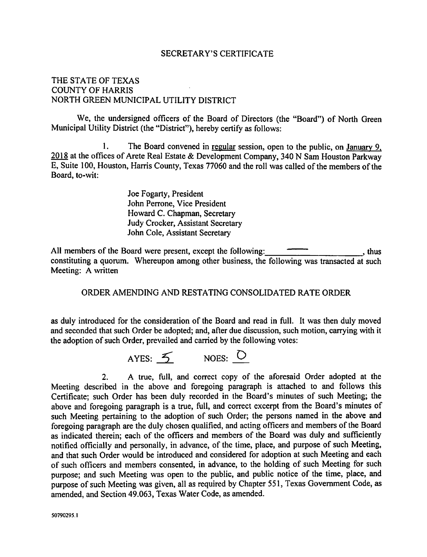#### **SECRETARY'S CERTIFICATE**

## THE STATE OF TEXAS **COUNTY OF HARRIS** NORTH GREEN MUNICIPAL UTILITY DISTRICT

We. the undersigned officers of the Board of Directors (the "Board") of North Green Municipal Utility District (the "District"), hereby certify as follows:

The Board convened in regular session, open to the public, on January 9,  $\mathbf{1}$ . 2018 at the offices of Arete Real Estate & Development Company, 340 N Sam Houston Parkway E, Suite 100, Houston, Harris County, Texas 77060 and the roll was called of the members of the Board. to-wit:

> Joe Fogarty, President John Perrone, Vice President Howard C. Chapman, Secretary **Judy Crocker, Assistant Secretary** John Cole, Assistant Secretary

 $\frac{1}{\sqrt{1-\frac{1}{2}}}\frac{1}{\sqrt{1-\frac{1}{2}}}\sinh(\theta)$ All members of the Board were present, except the following: constituting a quorum. Whereupon among other business, the following was transacted at such Meeting: A written

#### ORDER AMENDING AND RESTATING CONSOLIDATED RATE ORDER

as duly introduced for the consideration of the Board and read in full. It was then duly moved and seconded that such Order be adopted; and, after due discussion, such motion, carrying with it the adoption of such Order, prevailed and carried by the following votes:



A true, full, and correct copy of the aforesaid Order adopted at the  $2<sub>1</sub>$ Meeting described in the above and foregoing paragraph is attached to and follows this Certificate: such Order has been duly recorded in the Board's minutes of such Meeting; the above and foregoing paragraph is a true, full, and correct excerpt from the Board's minutes of such Meeting pertaining to the adoption of such Order; the persons named in the above and foregoing paragraph are the duly chosen qualified, and acting officers and members of the Board as indicated therein: each of the officers and members of the Board was duly and sufficiently notified officially and personally, in advance, of the time, place, and purpose of such Meeting, and that such Order would be introduced and considered for adoption at such Meeting and each of such officers and members consented, in advance, to the holding of such Meeting for such purpose: and such Meeting was open to the public, and public notice of the time, place, and purpose of such Meeting was given, all as required by Chapter 551, Texas Government Code, as amended, and Section 49.063, Texas Water Code, as amended.

50790295.1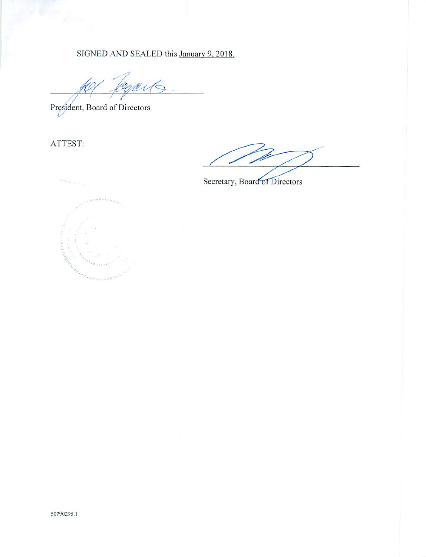SIGNED AND SEALED this January 9, 2018.

President, Board of Directors

ATTEST:

Secretary, Board of Directors

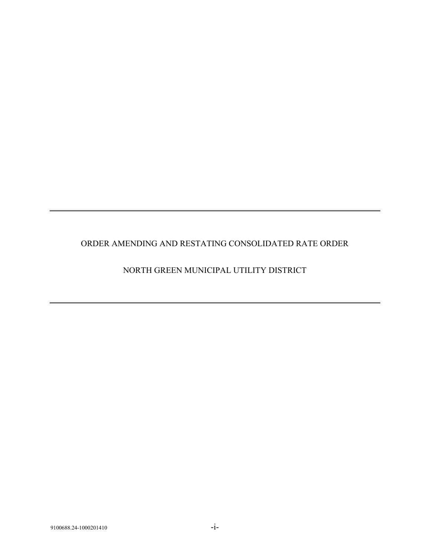# ORDER AMENDING AND RESTATING CONSOLIDATED RATE ORDER

# NORTH GREEN MUNICIPAL UTILITY DISTRICT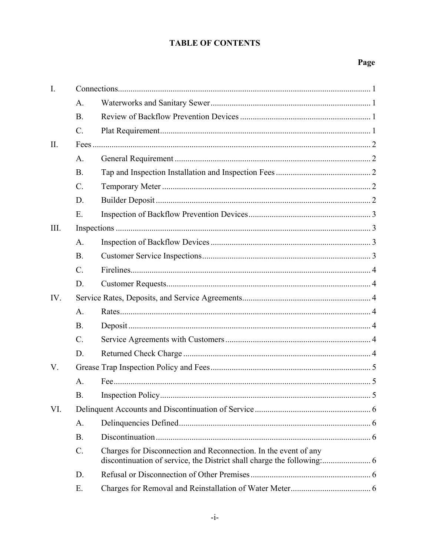# **TABLE OF CONTENTS**

# Page

| I.   |                 |                                                                 |
|------|-----------------|-----------------------------------------------------------------|
|      | A.              |                                                                 |
|      | <b>B.</b>       |                                                                 |
|      | $C$ .           |                                                                 |
| II.  |                 |                                                                 |
|      | A.              |                                                                 |
|      | <b>B.</b>       |                                                                 |
|      | $C$ .           |                                                                 |
|      | D.              |                                                                 |
|      | Ε.              |                                                                 |
| III. |                 |                                                                 |
|      | A.              |                                                                 |
|      | <b>B.</b>       |                                                                 |
|      | $C$ .           |                                                                 |
|      | D.              |                                                                 |
| IV.  |                 |                                                                 |
|      | A.              |                                                                 |
|      | <b>B.</b>       |                                                                 |
|      | $\mathcal{C}$ . |                                                                 |
|      | D.              |                                                                 |
| V.   |                 |                                                                 |
|      | A.              |                                                                 |
|      | <b>B.</b>       |                                                                 |
| VI.  |                 |                                                                 |
|      | А.              |                                                                 |
|      | <b>B.</b>       |                                                                 |
|      | C.              | Charges for Disconnection and Reconnection. In the event of any |
|      | D.              |                                                                 |
|      | Ε.              |                                                                 |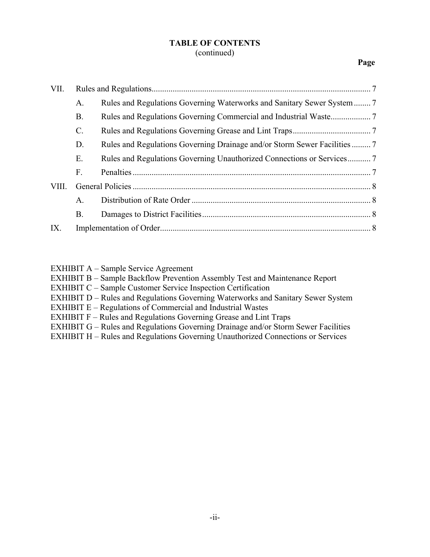#### **TABLE OF CONTENTS** (continued)

#### **Page**

| А.              |                                                                                                                                                    |
|-----------------|----------------------------------------------------------------------------------------------------------------------------------------------------|
| <b>B.</b>       |                                                                                                                                                    |
| $\mathcal{C}$ . |                                                                                                                                                    |
| D.              |                                                                                                                                                    |
| Ε.              |                                                                                                                                                    |
| F.              |                                                                                                                                                    |
|                 |                                                                                                                                                    |
| A.              |                                                                                                                                                    |
| <b>B.</b>       |                                                                                                                                                    |
|                 |                                                                                                                                                    |
|                 | Rules and Regulations Governing Drainage and/or Storm Sewer Facilities  7<br>Rules and Regulations Governing Unauthorized Connections or Services7 |

EXHIBIT A – Sample Service Agreement

EXHIBIT B – Sample Backflow Prevention Assembly Test and Maintenance Report

EXHIBIT C – Sample Customer Service Inspection Certification

EXHIBIT D – Rules and Regulations Governing Waterworks and Sanitary Sewer System

- EXHIBIT E Regulations of Commercial and Industrial Wastes
- EXHIBIT F Rules and Regulations Governing Grease and Lint Traps
- EXHIBIT G Rules and Regulations Governing Drainage and/or Storm Sewer Facilities
- EXHIBIT H Rules and Regulations Governing Unauthorized Connections or Services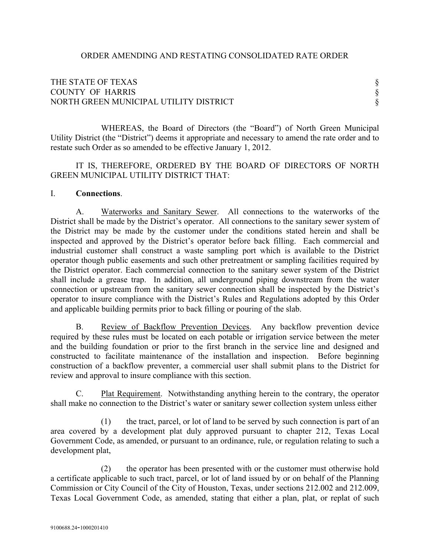### THE STATE OF TEXAS  $\S$ COUNTY OF HARRIS § NORTH GREEN MUNICIPAL UTILITY DISTRICT

WHEREAS, the Board of Directors (the "Board") of North Green Municipal Utility District (the "District") deems it appropriate and necessary to amend the rate order and to restate such Order as so amended to be effective January 1, 2012.

IT IS, THEREFORE, ORDERED BY THE BOARD OF DIRECTORS OF NORTH GREEN MUNICIPAL UTILITY DISTRICT THAT:

#### I. **Connections**.

A. Waterworks and Sanitary Sewer. All connections to the waterworks of the District shall be made by the District's operator. All connections to the sanitary sewer system of the District may be made by the customer under the conditions stated herein and shall be inspected and approved by the District's operator before back filling. Each commercial and industrial customer shall construct a waste sampling port which is available to the District operator though public easements and such other pretreatment or sampling facilities required by the District operator. Each commercial connection to the sanitary sewer system of the District shall include a grease trap. In addition, all underground piping downstream from the water connection or upstream from the sanitary sewer connection shall be inspected by the District's operator to insure compliance with the District's Rules and Regulations adopted by this Order and applicable building permits prior to back filling or pouring of the slab.

B. Review of Backflow Prevention Devices. Any backflow prevention device required by these rules must be located on each potable or irrigation service between the meter and the building foundation or prior to the first branch in the service line and designed and constructed to facilitate maintenance of the installation and inspection. Before beginning construction of a backflow preventer, a commercial user shall submit plans to the District for review and approval to insure compliance with this section.

C. Plat Requirement. Notwithstanding anything herein to the contrary, the operator shall make no connection to the District's water or sanitary sewer collection system unless either

(1) the tract, parcel, or lot of land to be served by such connection is part of an area covered by a development plat duly approved pursuant to chapter 212, Texas Local Government Code, as amended, or pursuant to an ordinance, rule, or regulation relating to such a development plat,

(2) the operator has been presented with or the customer must otherwise hold a certificate applicable to such tract, parcel, or lot of land issued by or on behalf of the Planning Commission or City Council of the City of Houston, Texas, under sections 212.002 and 212.009, Texas Local Government Code, as amended, stating that either a plan, plat, or replat of such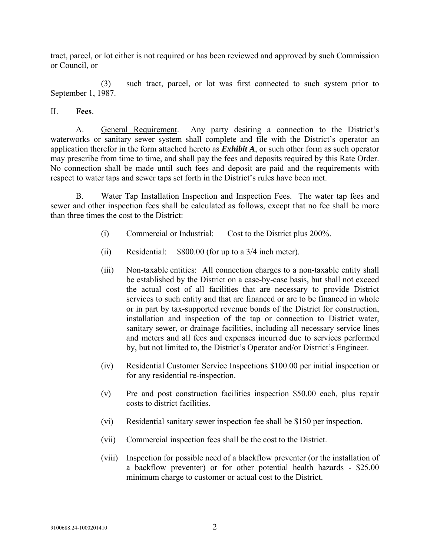tract, parcel, or lot either is not required or has been reviewed and approved by such Commission or Council, or

(3) such tract, parcel, or lot was first connected to such system prior to September 1, 1987.

#### II. **Fees**.

A. General Requirement. Any party desiring a connection to the District's waterworks or sanitary sewer system shall complete and file with the District's operator an application therefor in the form attached hereto as *Exhibit A*, or such other form as such operator may prescribe from time to time, and shall pay the fees and deposits required by this Rate Order. No connection shall be made until such fees and deposit are paid and the requirements with respect to water taps and sewer taps set forth in the District's rules have been met.

B. Water Tap Installation Inspection and Inspection Fees. The water tap fees and sewer and other inspection fees shall be calculated as follows, except that no fee shall be more than three times the cost to the District:

- (i) Commercial or Industrial: Cost to the District plus 200%.
- (ii) Residential: \$800.00 (for up to a 3/4 inch meter).
- (iii) Non-taxable entities: All connection charges to a non-taxable entity shall be established by the District on a case-by-case basis, but shall not exceed the actual cost of all facilities that are necessary to provide District services to such entity and that are financed or are to be financed in whole or in part by tax-supported revenue bonds of the District for construction, installation and inspection of the tap or connection to District water, sanitary sewer, or drainage facilities, including all necessary service lines and meters and all fees and expenses incurred due to services performed by, but not limited to, the District's Operator and/or District's Engineer.
- (iv) Residential Customer Service Inspections \$100.00 per initial inspection or for any residential re-inspection.
- (v) Pre and post construction facilities inspection \$50.00 each, plus repair costs to district facilities.
- (vi) Residential sanitary sewer inspection fee shall be \$150 per inspection.
- (vii) Commercial inspection fees shall be the cost to the District.
- (viii) Inspection for possible need of a blackflow preventer (or the installation of a backflow preventer) or for other potential health hazards - \$25.00 minimum charge to customer or actual cost to the District.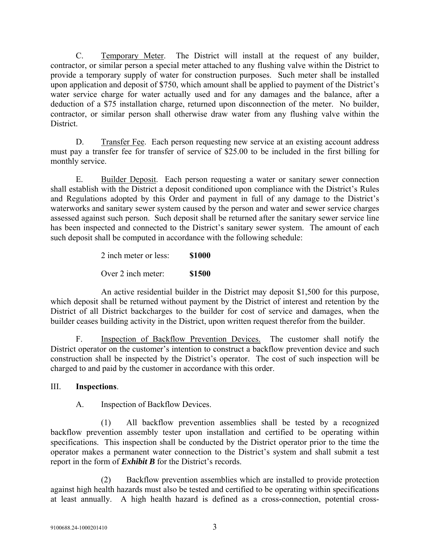C. Temporary Meter. The District will install at the request of any builder, contractor, or similar person a special meter attached to any flushing valve within the District to provide a temporary supply of water for construction purposes. Such meter shall be installed upon application and deposit of \$750, which amount shall be applied to payment of the District's water service charge for water actually used and for any damages and the balance, after a deduction of a \$75 installation charge, returned upon disconnection of the meter. No builder, contractor, or similar person shall otherwise draw water from any flushing valve within the District.

D. Transfer Fee. Each person requesting new service at an existing account address must pay a transfer fee for transfer of service of \$25.00 to be included in the first billing for monthly service.

E. Builder Deposit. Each person requesting a water or sanitary sewer connection shall establish with the District a deposit conditioned upon compliance with the District's Rules and Regulations adopted by this Order and payment in full of any damage to the District's waterworks and sanitary sewer system caused by the person and water and sewer service charges assessed against such person. Such deposit shall be returned after the sanitary sewer service line has been inspected and connected to the District's sanitary sewer system. The amount of each such deposit shall be computed in accordance with the following schedule:

2 inch meter or less: **\$1000**

Over 2 inch meter: **\$1500**

An active residential builder in the District may deposit \$1,500 for this purpose, which deposit shall be returned without payment by the District of interest and retention by the District of all District backcharges to the builder for cost of service and damages, when the builder ceases building activity in the District, upon written request therefor from the builder.

F. Inspection of Backflow Prevention Devices. The customer shall notify the District operator on the customer's intention to construct a backflow prevention device and such construction shall be inspected by the District's operator. The cost of such inspection will be charged to and paid by the customer in accordance with this order.

## III. **Inspections**.

A. Inspection of Backflow Devices.

(1) All backflow prevention assemblies shall be tested by a recognized backflow prevention assembly tester upon installation and certified to be operating within specifications. This inspection shall be conducted by the District operator prior to the time the operator makes a permanent water connection to the District's system and shall submit a test report in the form of *Exhibit B* for the District's records.

(2) Backflow prevention assemblies which are installed to provide protection against high health hazards must also be tested and certified to be operating within specifications at least annually. A high health hazard is defined as a cross-connection, potential cross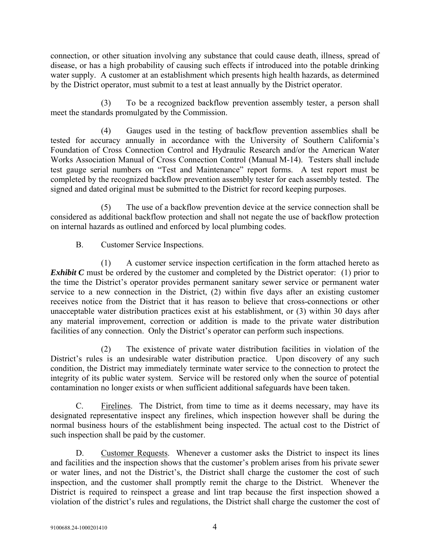connection, or other situation involving any substance that could cause death, illness, spread of disease, or has a high probability of causing such effects if introduced into the potable drinking water supply. A customer at an establishment which presents high health hazards, as determined by the District operator, must submit to a test at least annually by the District operator.

(3) To be a recognized backflow prevention assembly tester, a person shall meet the standards promulgated by the Commission.

(4) Gauges used in the testing of backflow prevention assemblies shall be tested for accuracy annually in accordance with the University of Southern California's Foundation of Cross Connection Control and Hydraulic Research and/or the American Water Works Association Manual of Cross Connection Control (Manual M-14). Testers shall include test gauge serial numbers on "Test and Maintenance" report forms. A test report must be completed by the recognized backflow prevention assembly tester for each assembly tested. The signed and dated original must be submitted to the District for record keeping purposes.

(5) The use of a backflow prevention device at the service connection shall be considered as additional backflow protection and shall not negate the use of backflow protection on internal hazards as outlined and enforced by local plumbing codes.

B. Customer Service Inspections.

(1) A customer service inspection certification in the form attached hereto as *Exhibit C* must be ordered by the customer and completed by the District operator: (1) prior to the time the District's operator provides permanent sanitary sewer service or permanent water service to a new connection in the District, (2) within five days after an existing customer receives notice from the District that it has reason to believe that cross-connections or other unacceptable water distribution practices exist at his establishment, or (3) within 30 days after any material improvement, correction or addition is made to the private water distribution facilities of any connection. Only the District's operator can perform such inspections.

(2) The existence of private water distribution facilities in violation of the District's rules is an undesirable water distribution practice. Upon discovery of any such condition, the District may immediately terminate water service to the connection to protect the integrity of its public water system. Service will be restored only when the source of potential contamination no longer exists or when sufficient additional safeguards have been taken.

C. Firelines. The District, from time to time as it deems necessary, may have its designated representative inspect any firelines, which inspection however shall be during the normal business hours of the establishment being inspected. The actual cost to the District of such inspection shall be paid by the customer.

D. Customer Requests. Whenever a customer asks the District to inspect its lines and facilities and the inspection shows that the customer's problem arises from his private sewer or water lines, and not the District's, the District shall charge the customer the cost of such inspection, and the customer shall promptly remit the charge to the District. Whenever the District is required to reinspect a grease and lint trap because the first inspection showed a violation of the district's rules and regulations, the District shall charge the customer the cost of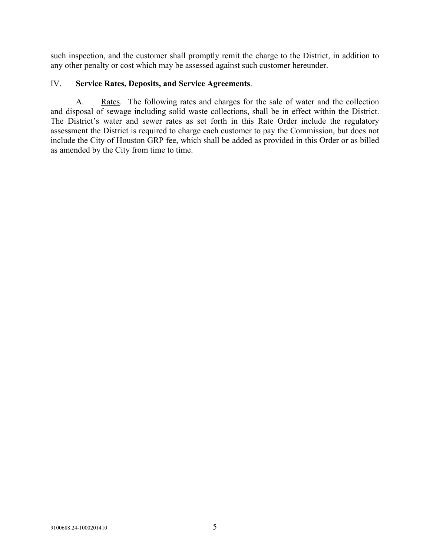such inspection, and the customer shall promptly remit the charge to the District, in addition to any other penalty or cost which may be assessed against such customer hereunder.

#### IV. **Service Rates, Deposits, and Service Agreements**.

A. Rates. The following rates and charges for the sale of water and the collection and disposal of sewage including solid waste collections, shall be in effect within the District. The District's water and sewer rates as set forth in this Rate Order include the regulatory assessment the District is required to charge each customer to pay the Commission, but does not include the City of Houston GRP fee, which shall be added as provided in this Order or as billed as amended by the City from time to time.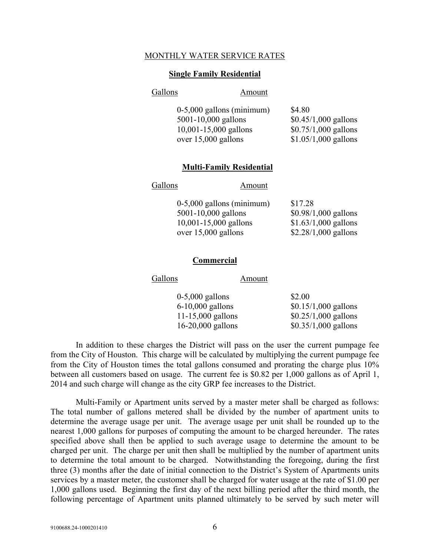#### MONTHLY WATER SERVICE RATES

#### **Single Family Residential**

#### Gallons Amount

| $0-5,000$ gallons (minimum) | \$4.80                |
|-----------------------------|-----------------------|
| $5001 - 10,000$ gallons     | $$0.45/1,000$ gallons |
| $10,001 - 15,000$ gallons   | $$0.75/1,000$ gallons |
| over $15,000$ gallons       | $$1.05/1,000$ gallons |

#### **Multi-Family Residential**

#### Gallons Amount

| $0-5,000$ gallons (minimum) | \$17.28               |
|-----------------------------|-----------------------|
| $5001 - 10,000$ gallons     | $$0.98/1,000$ gallons |
| $10,001 - 15,000$ gallons   | $$1.63/1,000$ gallons |
| over $15,000$ gallons       | $$2.28/1,000$ gallons |

#### **Commercial**

| Gallons           | Amount |                                                                  |
|-------------------|--------|------------------------------------------------------------------|
| $0-5,000$ gallons |        | \$2.00                                                           |
|                   |        | $$0.15/1,000$ gallons                                            |
|                   |        | $$0.25/1,000$ gallons                                            |
|                   |        | $$0.35/1,000$ gallons                                            |
|                   |        | $6-10,000$ gallons<br>$11-15,000$ gallons<br>$16-20,000$ gallons |

In addition to these charges the District will pass on the user the current pumpage fee from the City of Houston. This charge will be calculated by multiplying the current pumpage fee from the City of Houston times the total gallons consumed and prorating the charge plus 10% between all customers based on usage. The current fee is \$0.82 per 1,000 gallons as of April 1, 2014 and such charge will change as the city GRP fee increases to the District.

Multi-Family or Apartment units served by a master meter shall be charged as follows: The total number of gallons metered shall be divided by the number of apartment units to determine the average usage per unit. The average usage per unit shall be rounded up to the nearest 1,000 gallons for purposes of computing the amount to be charged hereunder. The rates specified above shall then be applied to such average usage to determine the amount to be charged per unit. The charge per unit then shall be multiplied by the number of apartment units to determine the total amount to be charged. Notwithstanding the foregoing, during the first three (3) months after the date of initial connection to the District's System of Apartments units services by a master meter, the customer shall be charged for water usage at the rate of \$1.00 per 1,000 gallons used. Beginning the first day of the next billing period after the third month, the following percentage of Apartment units planned ultimately to be served by such meter will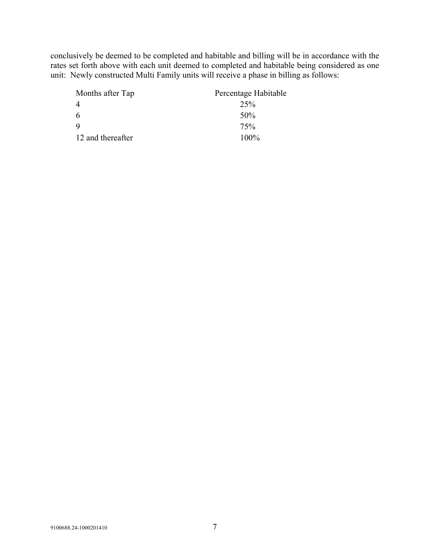conclusively be deemed to be completed and habitable and billing will be in accordance with the rates set forth above with each unit deemed to completed and habitable being considered as one unit: Newly constructed Multi Family units will receive a phase in billing as follows:

| Months after Tap  | Percentage Habitable |
|-------------------|----------------------|
| $\overline{4}$    | 25%                  |
| 6                 | 50%                  |
| $\mathbf Q$       | 75%                  |
| 12 and thereafter | $100\%$              |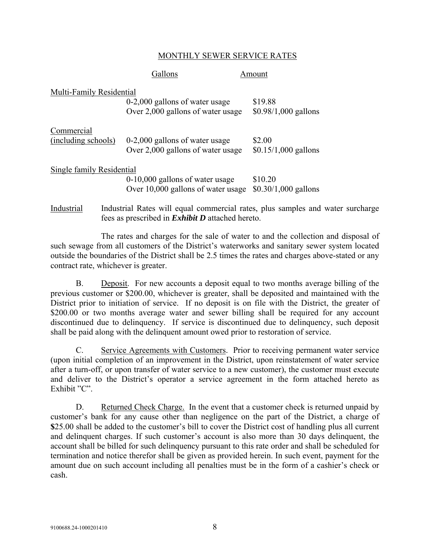#### MONTHLY SEWER SERVICE RATES

|                                   | Gallons                                                                 | Amount                                                                         |
|-----------------------------------|-------------------------------------------------------------------------|--------------------------------------------------------------------------------|
| Multi-Family Residential          | $0-2,000$ gallons of water usage<br>Over 2,000 gallons of water usage   | \$19.88<br>$$0.98/1,000$ gallons                                               |
| Commercial<br>(including schools) | $0-2,000$ gallons of water usage<br>Over 2,000 gallons of water usage   | \$2.00<br>$$0.15/1,000$ gallons                                                |
| Single family Residential         | $0-10,000$ gallons of water usage<br>Over 10,000 gallons of water usage | \$10.20<br>$$0.30/1,000$ gallons                                               |
| Industrial                        | fees as prescribed in <i>Exhibit D</i> attached hereto.                 | Industrial Rates will equal commercial rates, plus samples and water surcharge |

The rates and charges for the sale of water to and the collection and disposal of such sewage from all customers of the District's waterworks and sanitary sewer system located outside the boundaries of the District shall be 2.5 times the rates and charges above-stated or any contract rate, whichever is greater.

B. Deposit. For new accounts a deposit equal to two months average billing of the previous customer or \$200.00, whichever is greater, shall be deposited and maintained with the District prior to initiation of service. If no deposit is on file with the District, the greater of \$200.00 or two months average water and sewer billing shall be required for any account discontinued due to delinquency. If service is discontinued due to delinquency, such deposit shall be paid along with the delinquent amount owed prior to restoration of service.

C. Service Agreements with Customers. Prior to receiving permanent water service (upon initial completion of an improvement in the District, upon reinstatement of water service after a turn-off, or upon transfer of water service to a new customer), the customer must execute and deliver to the District's operator a service agreement in the form attached hereto as Exhibit "C".

D. Returned Check Charge. In the event that a customer check is returned unpaid by customer's bank for any cause other than negligence on the part of the District, a charge of **\$**25.00 shall be added to the customer's bill to cover the District cost of handling plus all current and delinquent charges. If such customer's account is also more than 30 days delinquent, the account shall be billed for such delinquency pursuant to this rate order and shall be scheduled for termination and notice therefor shall be given as provided herein. In such event, payment for the amount due on such account including all penalties must be in the form of a cashier's check or cash.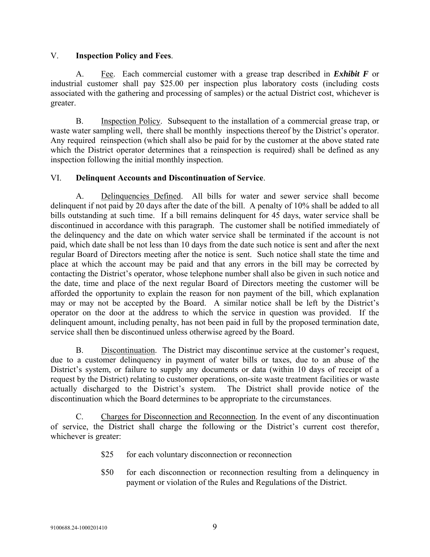#### V. **Inspection Policy and Fees**.

A. Fee. Each commercial customer with a grease trap described in *Exhibit F* or industrial customer shall pay \$25.00 per inspection plus laboratory costs (including costs associated with the gathering and processing of samples) or the actual District cost, whichever is greater.

B. Inspection Policy. Subsequent to the installation of a commercial grease trap, or waste water sampling well, there shall be monthly inspections thereof by the District's operator. Any required reinspection (which shall also be paid for by the customer at the above stated rate which the District operator determines that a reinspection is required) shall be defined as any inspection following the initial monthly inspection.

### VI. **Delinquent Accounts and Discontinuation of Service**.

A. Delinquencies Defined. All bills for water and sewer service shall become delinquent if not paid by 20 days after the date of the bill. A penalty of 10% shall be added to all bills outstanding at such time. If a bill remains delinquent for 45 days, water service shall be discontinued in accordance with this paragraph. The customer shall be notified immediately of the delinquency and the date on which water service shall be terminated if the account is not paid, which date shall be not less than 10 days from the date such notice is sent and after the next regular Board of Directors meeting after the notice is sent. Such notice shall state the time and place at which the account may be paid and that any errors in the bill may be corrected by contacting the District's operator, whose telephone number shall also be given in such notice and the date, time and place of the next regular Board of Directors meeting the customer will be afforded the opportunity to explain the reason for non payment of the bill, which explanation may or may not be accepted by the Board. A similar notice shall be left by the District's operator on the door at the address to which the service in question was provided. If the delinquent amount, including penalty, has not been paid in full by the proposed termination date, service shall then be discontinued unless otherwise agreed by the Board.

B. Discontinuation. The District may discontinue service at the customer's request, due to a customer delinquency in payment of water bills or taxes, due to an abuse of the District's system, or failure to supply any documents or data (within 10 days of receipt of a request by the District) relating to customer operations, on-site waste treatment facilities or waste actually discharged to the District's system. The District shall provide notice of the discontinuation which the Board determines to be appropriate to the circumstances.

C. Charges for Disconnection and Reconnection. In the event of any discontinuation of service, the District shall charge the following or the District's current cost therefor, whichever is greater:

- \$25 for each voluntary disconnection or reconnection
- \$50 for each disconnection or reconnection resulting from a delinguency in payment or violation of the Rules and Regulations of the District.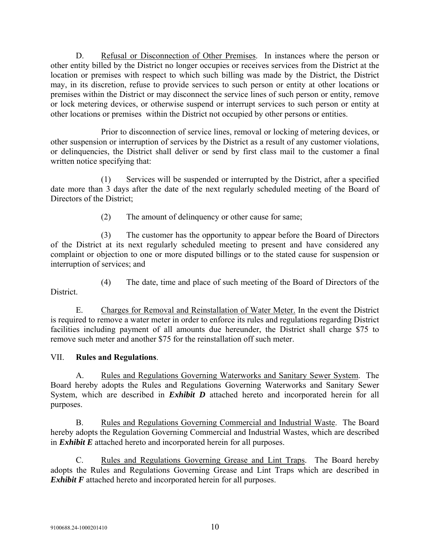D. Refusal or Disconnection of Other Premises. In instances where the person or other entity billed by the District no longer occupies or receives services from the District at the location or premises with respect to which such billing was made by the District, the District may, in its discretion, refuse to provide services to such person or entity at other locations or premises within the District or may disconnect the service lines of such person or entity, remove or lock metering devices, or otherwise suspend or interrupt services to such person or entity at other locations or premises within the District not occupied by other persons or entities.

Prior to disconnection of service lines, removal or locking of metering devices, or other suspension or interruption of services by the District as a result of any customer violations, or delinquencies, the District shall deliver or send by first class mail to the customer a final written notice specifying that:

(1) Services will be suspended or interrupted by the District, after a specified date more than 3 days after the date of the next regularly scheduled meeting of the Board of Directors of the District;

(2) The amount of delinquency or other cause for same;

(3) The customer has the opportunity to appear before the Board of Directors of the District at its next regularly scheduled meeting to present and have considered any complaint or objection to one or more disputed billings or to the stated cause for suspension or interruption of services; and

- District.
- (4) The date, time and place of such meeting of the Board of Directors of the

E. Charges for Removal and Reinstallation of Water Meter. In the event the District is required to remove a water meter in order to enforce its rules and regulations regarding District facilities including payment of all amounts due hereunder, the District shall charge \$75 to remove such meter and another \$75 for the reinstallation off such meter.

## VII. **Rules and Regulations**.

A. Rules and Regulations Governing Waterworks and Sanitary Sewer System. The Board hereby adopts the Rules and Regulations Governing Waterworks and Sanitary Sewer System, which are described in *Exhibit D* attached hereto and incorporated herein for all purposes.

B. Rules and Regulations Governing Commercial and Industrial Waste. The Board hereby adopts the Regulation Governing Commercial and Industrial Wastes, which are described in *Exhibit E* attached hereto and incorporated herein for all purposes.

C. Rules and Regulations Governing Grease and Lint Traps. The Board hereby adopts the Rules and Regulations Governing Grease and Lint Traps which are described in *Exhibit F* attached hereto and incorporated herein for all purposes.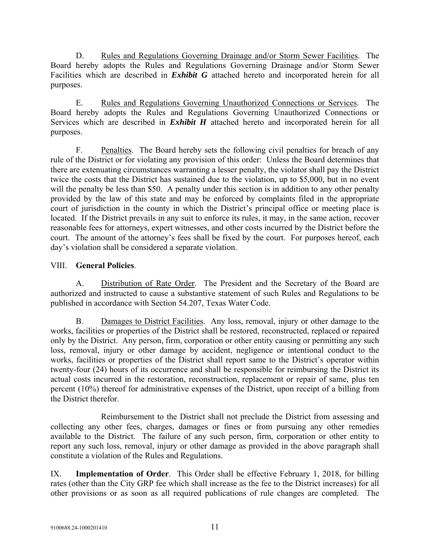D. Rules and Regulations Governing Drainage and/or Storm Sewer Facilities. The Board hereby adopts the Rules and Regulations Governing Drainage and/or Storm Sewer Facilities which are described in *Exhibit G* attached hereto and incorporated herein for all purposes.

E. Rules and Regulations Governing Unauthorized Connections or Services. The Board hereby adopts the Rules and Regulations Governing Unauthorized Connections or Services which are described in *Exhibit H* attached hereto and incorporated herein for all purposes.

F. Penalties. The Board hereby sets the following civil penalties for breach of any rule of the District or for violating any provision of this order: Unless the Board determines that there are extenuating circumstances warranting a lesser penalty, the violator shall pay the District twice the costs that the District has sustained due to the violation, up to \$5,000, but in no event will the penalty be less than \$50. A penalty under this section is in addition to any other penalty provided by the law of this state and may be enforced by complaints filed in the appropriate court of jurisdiction in the county in which the District's principal office or meeting place is located. If the District prevails in any suit to enforce its rules, it may, in the same action, recover reasonable fees for attorneys, expert witnesses, and other costs incurred by the District before the court. The amount of the attorney's fees shall be fixed by the court. For purposes hereof, each day's violation shall be considered a separate violation.

## VIII. **General Policies**.

A. Distribution of Rate Order. The President and the Secretary of the Board are authorized and instructed to cause a substantive statement of such Rules and Regulations to be published in accordance with Section 54.207, Texas Water Code.

B. Damages to District Facilities. Any loss, removal, injury or other damage to the works, facilities or properties of the District shall be restored, reconstructed, replaced or repaired only by the District. Any person, firm, corporation or other entity causing or permitting any such loss, removal, injury or other damage by accident, negligence or intentional conduct to the works, facilities or properties of the District shall report same to the District's operator within twenty-four (24) hours of its occurrence and shall be responsible for reimbursing the District its actual costs incurred in the restoration, reconstruction, replacement or repair of same, plus ten percent (10%) thereof for administrative expenses of the District, upon receipt of a billing from the District therefor.

Reimbursement to the District shall not preclude the District from assessing and collecting any other fees, charges, damages or fines or from pursuing any other remedies available to the District. The failure of any such person, firm, corporation or other entity to report any such loss, removal, injury or other damage as provided in the above paragraph shall constitute a violation of the Rules and Regulations.

IX. **Implementation of Order**. This Order shall be effective February 1, 2018, for billing rates (other than the City GRP fee which shall increase as the fee to the District increases) for all other provisions or as soon as all required publications of rule changes are completed. The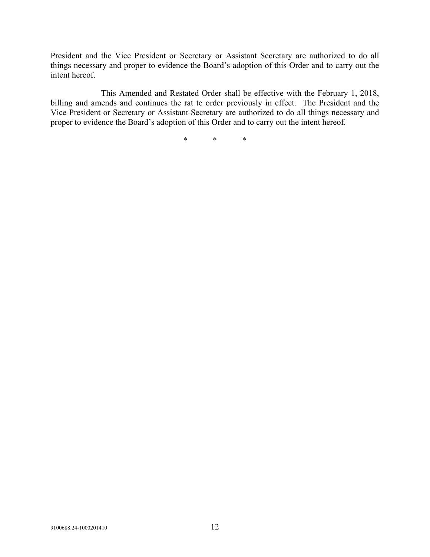President and the Vice President or Secretary or Assistant Secretary are authorized to do all things necessary and proper to evidence the Board's adoption of this Order and to carry out the intent hereof.

This Amended and Restated Order shall be effective with the February 1, 2018, billing and amends and continues the rat te order previously in effect. The President and the Vice President or Secretary or Assistant Secretary are authorized to do all things necessary and proper to evidence the Board's adoption of this Order and to carry out the intent hereof.

\* \* \*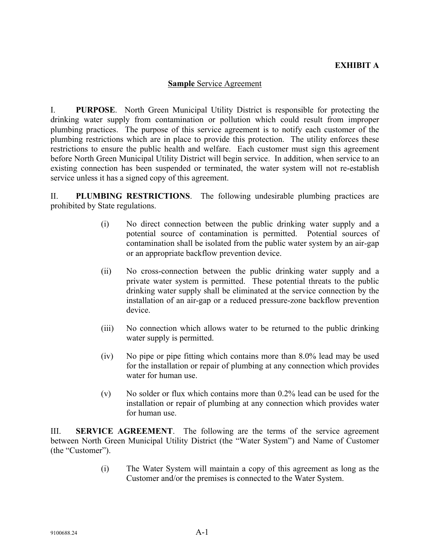# **EXHIBIT A**

#### **Sample** Service Agreement

I. **PURPOSE**. North Green Municipal Utility District is responsible for protecting the drinking water supply from contamination or pollution which could result from improper plumbing practices. The purpose of this service agreement is to notify each customer of the plumbing restrictions which are in place to provide this protection. The utility enforces these restrictions to ensure the public health and welfare. Each customer must sign this agreement before North Green Municipal Utility District will begin service. In addition, when service to an existing connection has been suspended or terminated, the water system will not re-establish service unless it has a signed copy of this agreement.

II. **PLUMBING RESTRICTIONS**. The following undesirable plumbing practices are prohibited by State regulations.

- (i) No direct connection between the public drinking water supply and a potential source of contamination is permitted. Potential sources of contamination shall be isolated from the public water system by an air-gap or an appropriate backflow prevention device.
- (ii) No cross-connection between the public drinking water supply and a private water system is permitted. These potential threats to the public drinking water supply shall be eliminated at the service connection by the installation of an air-gap or a reduced pressure-zone backflow prevention device.
- (iii) No connection which allows water to be returned to the public drinking water supply is permitted.
- (iv) No pipe or pipe fitting which contains more than 8.0% lead may be used for the installation or repair of plumbing at any connection which provides water for human use.
- (v) No solder or flux which contains more than 0.2% lead can be used for the installation or repair of plumbing at any connection which provides water for human use.

III. **SERVICE AGREEMENT**. The following are the terms of the service agreement between North Green Municipal Utility District (the "Water System") and Name of Customer (the "Customer").

> (i) The Water System will maintain a copy of this agreement as long as the Customer and/or the premises is connected to the Water System.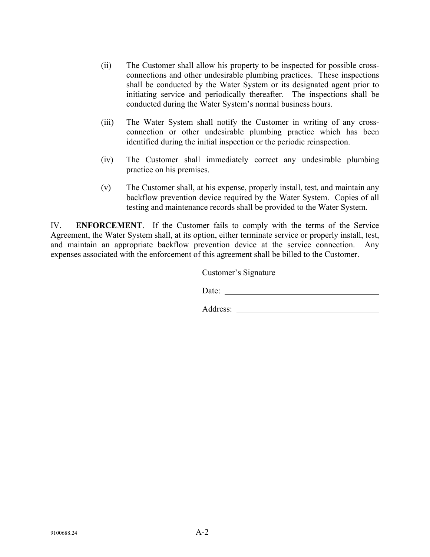- (ii) The Customer shall allow his property to be inspected for possible crossconnections and other undesirable plumbing practices. These inspections shall be conducted by the Water System or its designated agent prior to initiating service and periodically thereafter. The inspections shall be conducted during the Water System's normal business hours.
- (iii) The Water System shall notify the Customer in writing of any crossconnection or other undesirable plumbing practice which has been identified during the initial inspection or the periodic reinspection.
- (iv) The Customer shall immediately correct any undesirable plumbing practice on his premises.
- (v) The Customer shall, at his expense, properly install, test, and maintain any backflow prevention device required by the Water System. Copies of all testing and maintenance records shall be provided to the Water System.

IV. **ENFORCEMENT**. If the Customer fails to comply with the terms of the Service Agreement, the Water System shall, at its option, either terminate service or properly install, test, and maintain an appropriate backflow prevention device at the service connection. Any expenses associated with the enforcement of this agreement shall be billed to the Customer.

Customer's Signature

Date:

Address: <u>with a set of the set of the set of the set of the set of the set of the set of the set of the set of the set of the set of the set of the set of the set of the set of the set of the set of the set of the set of </u>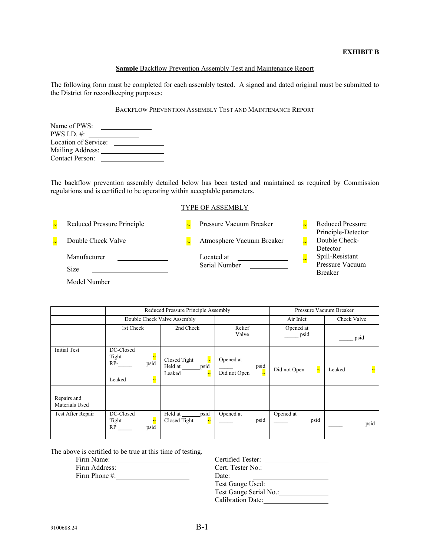#### **EXHIBIT B**

#### **Sample** Backflow Prevention Assembly Test and Maintenance Report

The following form must be completed for each assembly tested. A signed and dated original must be submitted to the District for recordkeeping purposes:

#### BACKFLOW PREVENTION ASSEMBLY TEST AND MAINTENANCE REPORT

| Name of PWS:           |  |
|------------------------|--|
| PWS I.D. $\#$ :        |  |
| Location of Service:   |  |
| Mailing Address:       |  |
| <b>Contact Person:</b> |  |

The backflow prevention assembly detailed below has been tested and maintained as required by Commission regulations and is certified to be operating within acceptable parameters.

#### TYPE OF ASSEMBLY



|                               | Reduced Pressure Principle Assembly                                       |                                                                         |                                                               | Pressure Vacuum Breaker |             |
|-------------------------------|---------------------------------------------------------------------------|-------------------------------------------------------------------------|---------------------------------------------------------------|-------------------------|-------------|
|                               |                                                                           | Double Check Valve Assembly                                             |                                                               | Air Inlet               | Check Valve |
|                               | 1st Check                                                                 | 2nd Check                                                               | Relief<br>Valve                                               | Opened at<br>psid       | psid        |
| <b>Initial Test</b>           | DC-Closed<br>Tight<br>psid<br>$RP-$<br>Leaked<br>$\overline{\phantom{1}}$ | Closed Tight<br>$\overline{\phantom{a}}$<br>Held at psid<br>Leaked<br>≂ | Opened at<br>psid<br>$\overline{\phantom{a}}$<br>Did not Open | Did not Open<br>$\sim$  | Leaked      |
| Repairs and<br>Materials Used |                                                                           |                                                                         |                                                               |                         |             |
| Test After Repair             | DC-Closed<br>Tight<br>psid<br>RP                                          | psid<br>Held at _____<br>Closed Tight<br>$\tilde{\phantom{a}}$          | Opened at<br>psid                                             | Opened at<br>psid       | psid        |

The above is certified to be true at this time of testing.

| Firm Name:                                                                                                                                                                                                                                                                                                         | Certified Tester:      |
|--------------------------------------------------------------------------------------------------------------------------------------------------------------------------------------------------------------------------------------------------------------------------------------------------------------------|------------------------|
| Firm Address:                                                                                                                                                                                                                                                                                                      | Cert. Tester No.:      |
| Firm Phone #: $\frac{1}{2}$ $\frac{1}{2}$ $\frac{1}{2}$ $\frac{1}{2}$ $\frac{1}{2}$ $\frac{1}{2}$ $\frac{1}{2}$ $\frac{1}{2}$ $\frac{1}{2}$ $\frac{1}{2}$ $\frac{1}{2}$ $\frac{1}{2}$ $\frac{1}{2}$ $\frac{1}{2}$ $\frac{1}{2}$ $\frac{1}{2}$ $\frac{1}{2}$ $\frac{1}{2}$ $\frac{1}{2}$ $\frac{1}{2}$ $\frac{1}{2$ | Date:                  |
|                                                                                                                                                                                                                                                                                                                    | Test Gauge Used:       |
|                                                                                                                                                                                                                                                                                                                    | Test Gauge Serial No.: |
|                                                                                                                                                                                                                                                                                                                    | Calibration Date:      |
|                                                                                                                                                                                                                                                                                                                    |                        |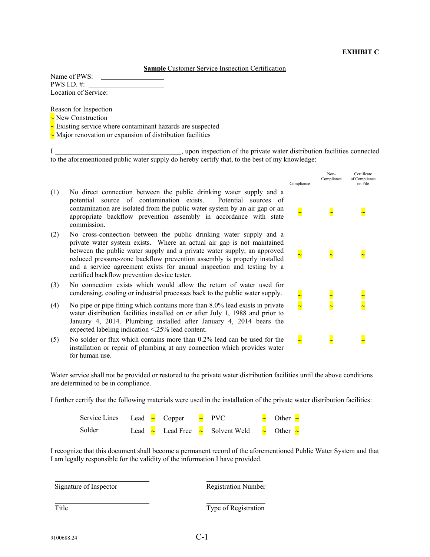**Sample** Customer Service Inspection Certification

| Name of PWS:         |  |
|----------------------|--|
| PWS I.D. $\#$ :      |  |
| Location of Service: |  |

Reason for Inspection

 $\sim$  New Construction

 $\sim$  Existing service where contaminant hazards are suspected

 $\sim$  Major renovation or expansion of distribution facilities

I consider the private water distribution facilities connected to the aforementioned public water supply do hereby certify that, to the best of my knowledge:

|     |                                                                                                                                                                                                                                                                                                                                                                                                                              | Compliance | Non-<br>Compliance | Certificate<br>of Compliance<br>on File |
|-----|------------------------------------------------------------------------------------------------------------------------------------------------------------------------------------------------------------------------------------------------------------------------------------------------------------------------------------------------------------------------------------------------------------------------------|------------|--------------------|-----------------------------------------|
| (1) | No direct connection between the public drinking water supply and a<br>potential source of contamination exists.<br>Potential sources of<br>contamination are isolated from the public water system by an air gap or an<br>appropriate backflow prevention assembly in accordance with state<br>commission.                                                                                                                  |            |                    |                                         |
| (2) | No cross-connection between the public drinking water supply and a<br>private water system exists. Where an actual air gap is not maintained<br>between the public water supply and a private water supply, an approved<br>reduced pressure-zone backflow prevention assembly is properly installed<br>and a service agreement exists for annual inspection and testing by a<br>certified backflow prevention device tester. |            |                    |                                         |
| (3) | No connection exists which would allow the return of water used for<br>condensing, cooling or industrial processes back to the public water supply.                                                                                                                                                                                                                                                                          |            |                    |                                         |
| (4) | No pipe or pipe fitting which contains more than 8.0% lead exists in private<br>water distribution facilities installed on or after July 1, 1988 and prior to<br>January 4, 2014. Plumbing installed after January 4, 2014 bears the<br>expected labeling indication <.25% lead content.                                                                                                                                     |            |                    |                                         |
| (5) | No solder or flux which contains more than 0.2% lead can be used for the<br>installation or repair of plumbing at any connection which provides water<br>for human use.                                                                                                                                                                                                                                                      |            |                    |                                         |

Water service shall not be provided or restored to the private water distribution facilities until the above conditions are determined to be in compliance.

I further certify that the following materials were used in the installation of the private water distribution facilities:

| Service Lines Lead $\sim$ Copper $\sim$ PVC |  |  |                                                               | $\sim$ Other $\sim$ |
|---------------------------------------------|--|--|---------------------------------------------------------------|---------------------|
| Solder                                      |  |  | Lead $\sim$ Lead Free $\sim$ Solvent Weld $\sim$ Other $\sim$ |                     |

I recognize that this document shall become a permanent record of the aforementioned Public Water System and that I am legally responsible for the validity of the information I have provided.

l

l

Signature of Inspector

Registration Number

Title

l

l

 $\overline{a}$ 

Type of Registration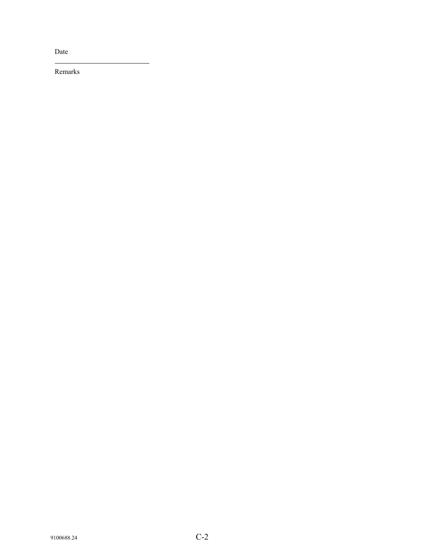Date

l

Remarks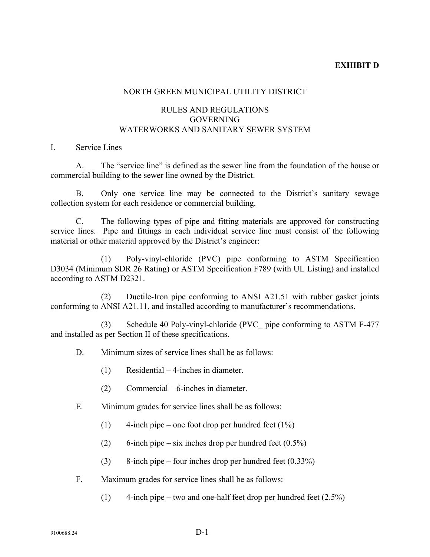## **EXHIBIT D**

#### NORTH GREEN MUNICIPAL UTILITY DISTRICT

### RULES AND REGULATIONS GOVERNING WATERWORKS AND SANITARY SEWER SYSTEM

#### I. Service Lines

A. The "service line" is defined as the sewer line from the foundation of the house or commercial building to the sewer line owned by the District.

B. Only one service line may be connected to the District's sanitary sewage collection system for each residence or commercial building.

C. The following types of pipe and fitting materials are approved for constructing service lines. Pipe and fittings in each individual service line must consist of the following material or other material approved by the District's engineer:

(1) Poly-vinyl-chloride (PVC) pipe conforming to ASTM Specification D3034 (Minimum SDR 26 Rating) or ASTM Specification F789 (with UL Listing) and installed according to ASTM D2321.

(2) Ductile-Iron pipe conforming to ANSI A21.51 with rubber gasket joints conforming to ANSI A21.11, and installed according to manufacturer's recommendations.

(3) Schedule 40 Poly-vinyl-chloride (PVC\_ pipe conforming to ASTM F-477 and installed as per Section II of these specifications.

- D. Minimum sizes of service lines shall be as follows:
	- (1) Residential 4-inches in diameter.
	- (2) Commercial 6-inches in diameter.
- E. Minimum grades for service lines shall be as follows:
	- (1) 4-inch pipe one foot drop per hundred feet  $(1\%)$
	- (2) 6-inch pipe six inches drop per hundred feet  $(0.5\%)$
	- (3) 8-inch pipe four inches drop per hundred feet  $(0.33\%)$
- F. Maximum grades for service lines shall be as follows:
	- (1) 4-inch pipe two and one-half feet drop per hundred feet  $(2.5\%)$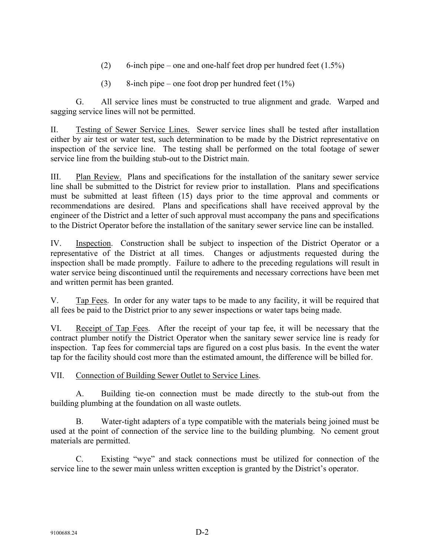- (2) 6-inch pipe one and one-half feet drop per hundred feet  $(1.5\%)$
- $(3)$  8-inch pipe one foot drop per hundred feet  $(1\%)$

G. All service lines must be constructed to true alignment and grade. Warped and sagging service lines will not be permitted.

II. Testing of Sewer Service Lines.Sewer service lines shall be tested after installation either by air test or water test, such determination to be made by the District representative on inspection of the service line. The testing shall be performed on the total footage of sewer service line from the building stub-out to the District main.

III. Plan Review. Plans and specifications for the installation of the sanitary sewer service line shall be submitted to the District for review prior to installation. Plans and specifications must be submitted at least fifteen (15) days prior to the time approval and comments or recommendations are desired. Plans and specifications shall have received approval by the engineer of the District and a letter of such approval must accompany the pans and specifications to the District Operator before the installation of the sanitary sewer service line can be installed.

IV. Inspection. Construction shall be subject to inspection of the District Operator or a representative of the District at all times. Changes or adjustments requested during the inspection shall be made promptly. Failure to adhere to the preceding regulations will result in water service being discontinued until the requirements and necessary corrections have been met and written permit has been granted.

V. Tap Fees. In order for any water taps to be made to any facility, it will be required that all fees be paid to the District prior to any sewer inspections or water taps being made.

VI. Receipt of Tap Fees. After the receipt of your tap fee, it will be necessary that the contract plumber notify the District Operator when the sanitary sewer service line is ready for inspection. Tap fees for commercial taps are figured on a cost plus basis. In the event the water tap for the facility should cost more than the estimated amount, the difference will be billed for.

VII. Connection of Building Sewer Outlet to Service Lines.

A. Building tie-on connection must be made directly to the stub-out from the building plumbing at the foundation on all waste outlets.

B. Water-tight adapters of a type compatible with the materials being joined must be used at the point of connection of the service line to the building plumbing. No cement grout materials are permitted.

C. Existing "wye" and stack connections must be utilized for connection of the service line to the sewer main unless written exception is granted by the District's operator.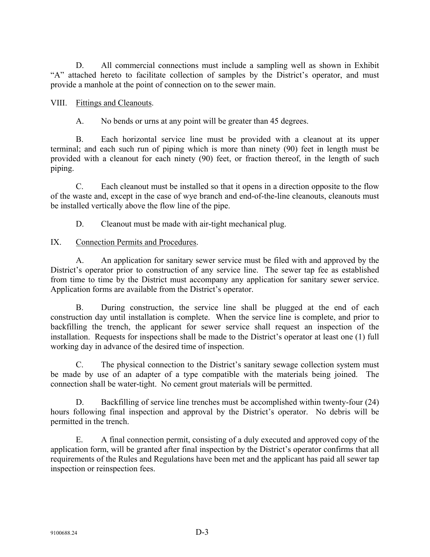D. All commercial connections must include a sampling well as shown in Exhibit "A" attached hereto to facilitate collection of samples by the District's operator, and must provide a manhole at the point of connection on to the sewer main.

## VIII. Fittings and Cleanouts.

A. No bends or urns at any point will be greater than 45 degrees.

B. Each horizontal service line must be provided with a cleanout at its upper terminal; and each such run of piping which is more than ninety (90) feet in length must be provided with a cleanout for each ninety (90) feet, or fraction thereof, in the length of such piping.

C. Each cleanout must be installed so that it opens in a direction opposite to the flow of the waste and, except in the case of wye branch and end-of-the-line cleanouts, cleanouts must be installed vertically above the flow line of the pipe.

D. Cleanout must be made with air-tight mechanical plug.

## IX. Connection Permits and Procedures.

A. An application for sanitary sewer service must be filed with and approved by the District's operator prior to construction of any service line. The sewer tap fee as established from time to time by the District must accompany any application for sanitary sewer service. Application forms are available from the District's operator.

B. During construction, the service line shall be plugged at the end of each construction day until installation is complete. When the service line is complete, and prior to backfilling the trench, the applicant for sewer service shall request an inspection of the installation. Requests for inspections shall be made to the District's operator at least one (1) full working day in advance of the desired time of inspection.

C. The physical connection to the District's sanitary sewage collection system must be made by use of an adapter of a type compatible with the materials being joined. The connection shall be water-tight. No cement grout materials will be permitted.

D. Backfilling of service line trenches must be accomplished within twenty-four (24) hours following final inspection and approval by the District's operator. No debris will be permitted in the trench.

E. A final connection permit, consisting of a duly executed and approved copy of the application form, will be granted after final inspection by the District's operator confirms that all requirements of the Rules and Regulations have been met and the applicant has paid all sewer tap inspection or reinspection fees.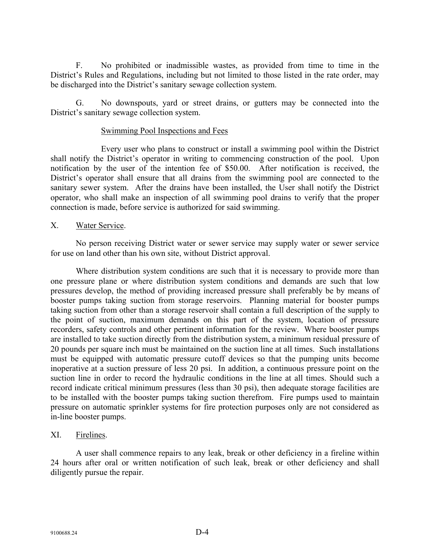F. No prohibited or inadmissible wastes, as provided from time to time in the District's Rules and Regulations, including but not limited to those listed in the rate order, may be discharged into the District's sanitary sewage collection system.

G. No downspouts, yard or street drains, or gutters may be connected into the District's sanitary sewage collection system.

#### Swimming Pool Inspections and Fees

Every user who plans to construct or install a swimming pool within the District shall notify the District's operator in writing to commencing construction of the pool. Upon notification by the user of the intention fee of \$50.00. After notification is received, the District's operator shall ensure that all drains from the swimming pool are connected to the sanitary sewer system. After the drains have been installed, the User shall notify the District operator, who shall make an inspection of all swimming pool drains to verify that the proper connection is made, before service is authorized for said swimming.

#### X. Water Service.

No person receiving District water or sewer service may supply water or sewer service for use on land other than his own site, without District approval.

Where distribution system conditions are such that it is necessary to provide more than one pressure plane or where distribution system conditions and demands are such that low pressures develop, the method of providing increased pressure shall preferably be by means of booster pumps taking suction from storage reservoirs. Planning material for booster pumps taking suction from other than a storage reservoir shall contain a full description of the supply to the point of suction, maximum demands on this part of the system, location of pressure recorders, safety controls and other pertinent information for the review. Where booster pumps are installed to take suction directly from the distribution system, a minimum residual pressure of 20 pounds per square inch must be maintained on the suction line at all times. Such installations must be equipped with automatic pressure cutoff devices so that the pumping units become inoperative at a suction pressure of less 20 psi. In addition, a continuous pressure point on the suction line in order to record the hydraulic conditions in the line at all times. Should such a record indicate critical minimum pressures (less than 30 psi), then adequate storage facilities are to be installed with the booster pumps taking suction therefrom. Fire pumps used to maintain pressure on automatic sprinkler systems for fire protection purposes only are not considered as in-line booster pumps.

#### XI. Firelines.

A user shall commence repairs to any leak, break or other deficiency in a fireline within 24 hours after oral or written notification of such leak, break or other deficiency and shall diligently pursue the repair.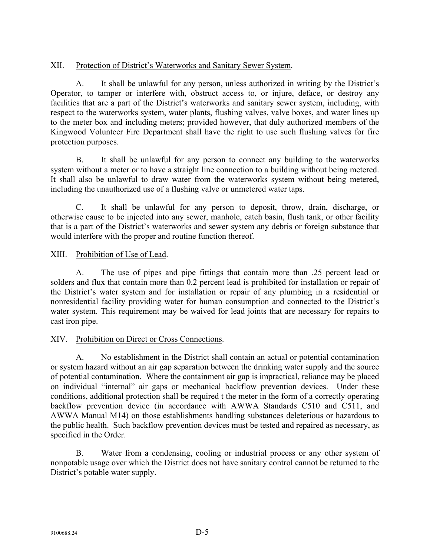## XII. Protection of District's Waterworks and Sanitary Sewer System.

A. It shall be unlawful for any person, unless authorized in writing by the District's Operator, to tamper or interfere with, obstruct access to, or injure, deface, or destroy any facilities that are a part of the District's waterworks and sanitary sewer system, including, with respect to the waterworks system, water plants, flushing valves, valve boxes, and water lines up to the meter box and including meters; provided however, that duly authorized members of the Kingwood Volunteer Fire Department shall have the right to use such flushing valves for fire protection purposes.

B. It shall be unlawful for any person to connect any building to the waterworks system without a meter or to have a straight line connection to a building without being metered. It shall also be unlawful to draw water from the waterworks system without being metered, including the unauthorized use of a flushing valve or unmetered water taps.

C. It shall be unlawful for any person to deposit, throw, drain, discharge, or otherwise cause to be injected into any sewer, manhole, catch basin, flush tank, or other facility that is a part of the District's waterworks and sewer system any debris or foreign substance that would interfere with the proper and routine function thereof.

### XIII. Prohibition of Use of Lead.

A. The use of pipes and pipe fittings that contain more than .25 percent lead or solders and flux that contain more than 0.2 percent lead is prohibited for installation or repair of the District's water system and for installation or repair of any plumbing in a residential or nonresidential facility providing water for human consumption and connected to the District's water system. This requirement may be waived for lead joints that are necessary for repairs to cast iron pipe.

## XIV. Prohibition on Direct or Cross Connections.

A. No establishment in the District shall contain an actual or potential contamination or system hazard without an air gap separation between the drinking water supply and the source of potential contamination. Where the containment air gap is impractical, reliance may be placed on individual "internal" air gaps or mechanical backflow prevention devices. Under these conditions, additional protection shall be required t the meter in the form of a correctly operating backflow prevention device (in accordance with AWWA Standards C510 and C511, and AWWA Manual M14) on those establishments handling substances deleterious or hazardous to the public health. Such backflow prevention devices must be tested and repaired as necessary, as specified in the Order.

B. Water from a condensing, cooling or industrial process or any other system of nonpotable usage over which the District does not have sanitary control cannot be returned to the District's potable water supply.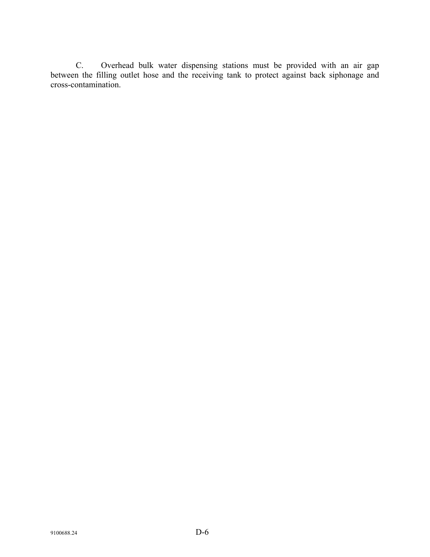C. Overhead bulk water dispensing stations must be provided with an air gap between the filling outlet hose and the receiving tank to protect against back siphonage and cross-contamination.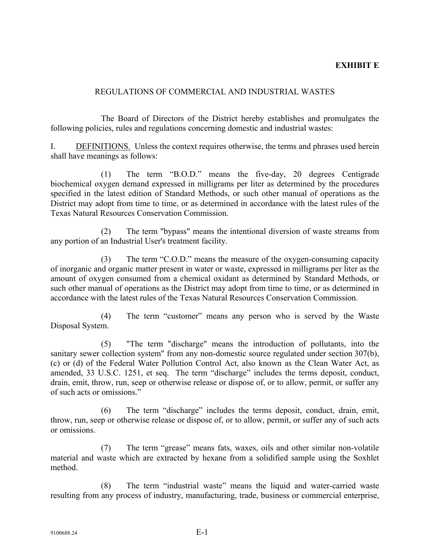### **EXHIBIT E**

#### REGULATIONS OF COMMERCIAL AND INDUSTRIAL WASTES

The Board of Directors of the District hereby establishes and promulgates the following policies, rules and regulations concerning domestic and industrial wastes:

I. DEFINITIONS. Unless the context requires otherwise, the terms and phrases used herein shall have meanings as follows:

(1) The term "B.O.D." means the five-day, 20 degrees Centigrade biochemical oxygen demand expressed in milligrams per liter as determined by the procedures specified in the latest edition of Standard Methods, or such other manual of operations as the District may adopt from time to time, or as determined in accordance with the latest rules of the Texas Natural Resources Conservation Commission.

(2) The term "bypass" means the intentional diversion of waste streams from any portion of an Industrial User's treatment facility.

(3) The term "C.O.D." means the measure of the oxygen-consuming capacity of inorganic and organic matter present in water or waste, expressed in milligrams per liter as the amount of oxygen consumed from a chemical oxidant as determined by Standard Methods, or such other manual of operations as the District may adopt from time to time, or as determined in accordance with the latest rules of the Texas Natural Resources Conservation Commission.

(4) The term "customer" means any person who is served by the Waste Disposal System.

(5) "The term "discharge" means the introduction of pollutants, into the sanitary sewer collection system" from any non-domestic source regulated under section 307(b), (c) or (d) of the Federal Water Pollution Control Act, also known as the Clean Water Act, as amended, 33 U.S.C. 1251, et seq. The term "discharge" includes the terms deposit, conduct, drain, emit, throw, run, seep or otherwise release or dispose of, or to allow, permit, or suffer any of such acts or omissions."

(6) The term "discharge" includes the terms deposit, conduct, drain, emit, throw, run, seep or otherwise release or dispose of, or to allow, permit, or suffer any of such acts or omissions.

(7) The term "grease" means fats, waxes, oils and other similar non-volatile material and waste which are extracted by hexane from a solidified sample using the Soxhlet method.

(8) The term "industrial waste" means the liquid and water-carried waste resulting from any process of industry, manufacturing, trade, business or commercial enterprise,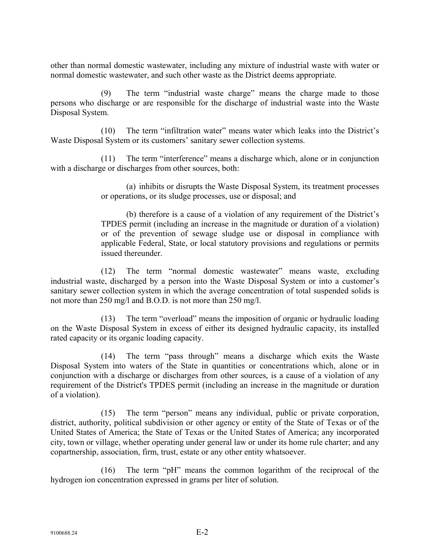other than normal domestic wastewater, including any mixture of industrial waste with water or normal domestic wastewater, and such other waste as the District deems appropriate.

(9) The term "industrial waste charge" means the charge made to those persons who discharge or are responsible for the discharge of industrial waste into the Waste Disposal System.

(10) The term "infiltration water" means water which leaks into the District's Waste Disposal System or its customers' sanitary sewer collection systems.

(11) The term "interference" means a discharge which, alone or in conjunction with a discharge or discharges from other sources, both:

> (a) inhibits or disrupts the Waste Disposal System, its treatment processes or operations, or its sludge processes, use or disposal; and

> (b) therefore is a cause of a violation of any requirement of the District's TPDES permit (including an increase in the magnitude or duration of a violation) or of the prevention of sewage sludge use or disposal in compliance with applicable Federal, State, or local statutory provisions and regulations or permits issued thereunder.

(12) The term "normal domestic wastewater" means waste, excluding industrial waste, discharged by a person into the Waste Disposal System or into a customer's sanitary sewer collection system in which the average concentration of total suspended solids is not more than 250 mg/l and B.O.D. is not more than 250 mg/l.

(13) The term "overload" means the imposition of organic or hydraulic loading on the Waste Disposal System in excess of either its designed hydraulic capacity, its installed rated capacity or its organic loading capacity.

(14) The term "pass through" means a discharge which exits the Waste Disposal System into waters of the State in quantities or concentrations which, alone or in conjunction with a discharge or discharges from other sources*,* is a cause of a violation of any requirement of the District's TPDES permit (including an increase in the magnitude or duration of a violation).

(15) The term "person" means any individual, public or private corporation, district, authority, political subdivision or other agency or entity of the State of Texas or of the United States of America; the State of Texas or the United States of America; any incorporated city, town or village, whether operating under general law or under its home rule charter; and any copartnership, association, firm, trust, estate or any other entity whatsoever.

(16) The term "pH" means the common logarithm of the reciprocal of the hydrogen ion concentration expressed in grams per liter of solution.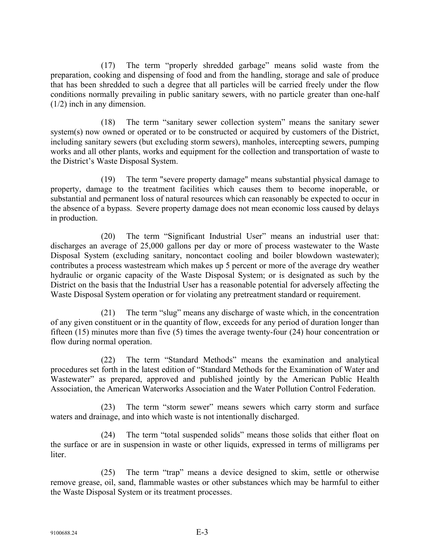(17) The term "properly shredded garbage" means solid waste from the preparation, cooking and dispensing of food and from the handling, storage and sale of produce that has been shredded to such a degree that all particles will be carried freely under the flow conditions normally prevailing in public sanitary sewers, with no particle greater than one-half (1/2) inch in any dimension.

(18) The term "sanitary sewer collection system" means the sanitary sewer system(s) now owned or operated or to be constructed or acquired by customers of the District, including sanitary sewers (but excluding storm sewers), manholes, intercepting sewers, pumping works and all other plants, works and equipment for the collection and transportation of waste to the District's Waste Disposal System.

(19) The term "severe property damage" means substantial physical damage to property, damage to the treatment facilities which causes them to become inoperable, or substantial and permanent loss of natural resources which can reasonably be expected to occur in the absence of a bypass. Severe property damage does not mean economic loss caused by delays in production.

(20) The term "Significant Industrial User" means an industrial user that: discharges an average of 25,000 gallons per day or more of process wastewater to the Waste Disposal System (excluding sanitary, noncontact cooling and boiler blowdown wastewater); contributes a process wastestream which makes up 5 percent or more of the average dry weather hydraulic or organic capacity of the Waste Disposal System; or is designated as such by the District on the basis that the Industrial User has a reasonable potential for adversely affecting the Waste Disposal System operation or for violating any pretreatment standard or requirement.

(21) The term "slug" means any discharge of waste which, in the concentration of any given constituent or in the quantity of flow, exceeds for any period of duration longer than fifteen (15) minutes more than five (5) times the average twenty-four (24) hour concentration or flow during normal operation.

(22) The term "Standard Methods" means the examination and analytical procedures set forth in the latest edition of "Standard Methods for the Examination of Water and Wastewater" as prepared, approved and published jointly by the American Public Health Association, the American Waterworks Association and the Water Pollution Control Federation.

(23) The term "storm sewer" means sewers which carry storm and surface waters and drainage, and into which waste is not intentionally discharged.

(24) The term "total suspended solids" means those solids that either float on the surface or are in suspension in waste or other liquids, expressed in terms of milligrams per liter.

(25) The term "trap" means a device designed to skim, settle or otherwise remove grease, oil, sand, flammable wastes or other substances which may be harmful to either the Waste Disposal System or its treatment processes.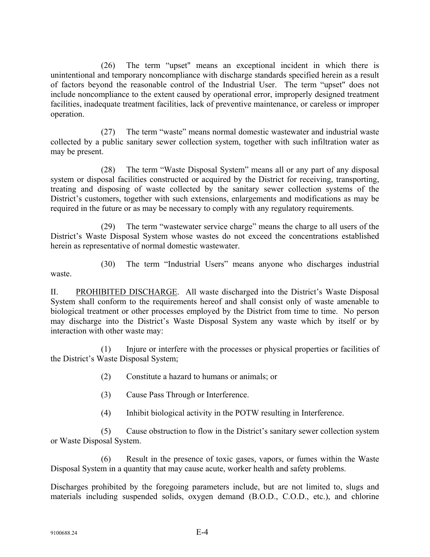(26) The term "upset" means an exceptional incident in which there is unintentional and temporary noncompliance with discharge standards specified herein as a result of factors beyond the reasonable control of the Industrial User.The term "upset" does not include noncompliance to the extent caused by operational error, improperly designed treatment facilities, inadequate treatment facilities, lack of preventive maintenance, or careless or improper operation.

(27) The term "waste" means normal domestic wastewater and industrial waste collected by a public sanitary sewer collection system, together with such infiltration water as may be present.

(28) The term "Waste Disposal System" means all or any part of any disposal system or disposal facilities constructed or acquired by the District for receiving, transporting, treating and disposing of waste collected by the sanitary sewer collection systems of the District's customers, together with such extensions, enlargements and modifications as may be required in the future or as may be necessary to comply with any regulatory requirements.

(29) The term "wastewater service charge" means the charge to all users of the District's Waste Disposal System whose wastes do not exceed the concentrations established herein as representative of normal domestic wastewater.

(30) The term "Industrial Users" means anyone who discharges industrial waste.

II. PROHIBITED DISCHARGE. All waste discharged into the District's Waste Disposal System shall conform to the requirements hereof and shall consist only of waste amenable to biological treatment or other processes employed by the District from time to time. No person may discharge into the District's Waste Disposal System any waste which by itself or by interaction with other waste may:

(1) Injure or interfere with the processes or physical properties or facilities of the District's Waste Disposal System;

- (2) Constitute a hazard to humans or animals; or
- (3) Cause Pass Through or Interference.
- (4) Inhibit biological activity in the POTW resulting in Interference.

(5) Cause obstruction to flow in the District's sanitary sewer collection system or Waste Disposal System.

(6) Result in the presence of toxic gases*,* vapors, or fumes within the Waste Disposal System in a quantity that may cause acute, worker health and safety problems.

Discharges prohibited by the foregoing parameters include, but are not limited to, slugs and materials including suspended solids, oxygen demand (B.O.D., C.O.D., etc.), and chlorine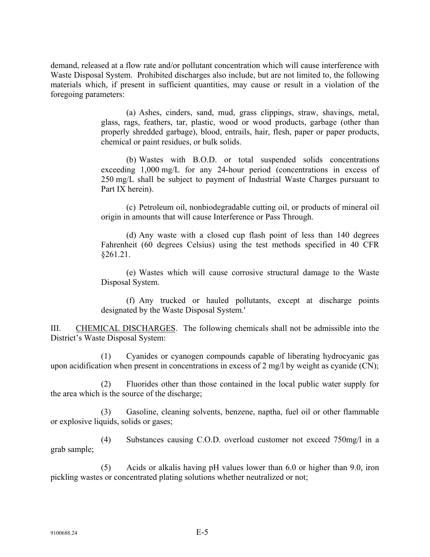demand, released at a flow rate and/or pollutant concentration which will cause interference with Waste Disposal System. Prohibited discharges also include, but are not limited to, the following materials which, if present in sufficient quantities, may cause or result in a violation of the foregoing parameters:

> (a) Ashes, cinders, sand, mud, grass clippings, straw, shavings, metal, glass, rags, feathers, tar, plastic, wood or wood products, garbage (other than properly shredded garbage), blood, entrails, hair, flesh, paper or paper products, chemical or paint residues, or bulk solids.

> (b) Wastes with B.O.D. or total suspended solids concentrations exceeding 1,000 mg/L for any 24-hour period (concentrations in excess of 250 mg/L shall be subject to payment of Industrial Waste Charges pursuant to Part IX herein).

> (c) Petroleum oil, nonbiodegradable cutting oil, or products of mineral oil origin in amounts that will cause Interference or Pass Through.

> (d) Any waste with a closed cup flash point of less than 140 degrees Fahrenheit (60 degrees Celsius) using the test methods specified in 40 CFR §261.21.

> (e) Wastes which will cause corrosive structural damage to the Waste Disposal System.

> (f) Any trucked or hauled pollutants, except at discharge points designated by the Waste Disposal System.'

III. CHEMICAL DISCHARGES. The following chemicals shall not be admissible into the District's Waste Disposal System:

(1) Cyanides or cyanogen compounds capable of liberating hydrocyanic gas upon acidification when present in concentrations in excess of 2 mg/l by weight as cyanide (CN);

(2) Fluorides other than those contained in the local public water supply for the area which is the source of the discharge;

Gasoline, cleaning solvents, benzene, naptha, fuel oil or other flammable or explosive liquids, solids or gases;

(4) Substances causing C.O.D. overload customer not exceed 750mg/l in a grab sample;

(5) Acids or alkalis having pH values lower than 6.0 or higher than 9.0, iron pickling wastes or concentrated plating solutions whether neutralized or not;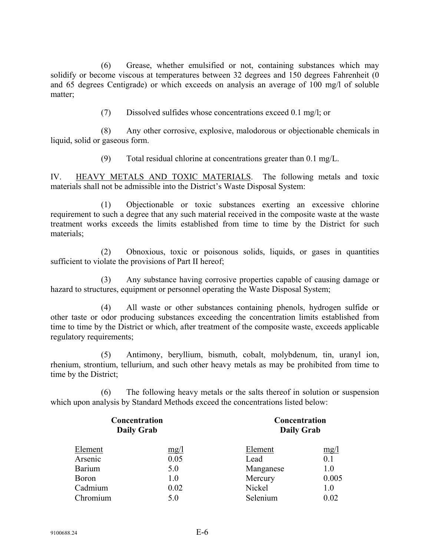(6) Grease, whether emulsified or not, containing substances which may solidify or become viscous at temperatures between 32 degrees and 150 degrees Fahrenheit (0 and 65 degrees Centigrade) or which exceeds on analysis an average of 100 mg/l of soluble matter;

(7) Dissolved sulfides whose concentrations exceed 0.1 mg/l; or

(8) Any other corrosive, explosive, malodorous or objectionable chemicals in liquid, solid or gaseous form.

(9) Total residual chlorine at concentrations greater than 0.1 mg/L.

IV. HEAVY METALS AND TOXIC MATERIALS. The following metals and toxic materials shall not be admissible into the District's Waste Disposal System:

(1) Objectionable or toxic substances exerting an excessive chlorine requirement to such a degree that any such material received in the composite waste at the waste treatment works exceeds the limits established from time to time by the District for such materials;

(2) Obnoxious, toxic or poisonous solids, liquids, or gases in quantities sufficient to violate the provisions of Part II hereof;

(3) Any substance having corrosive properties capable of causing damage or hazard to structures, equipment or personnel operating the Waste Disposal System;

(4) All waste or other substances containing phenols, hydrogen sulfide or other taste or odor producing substances exceeding the concentration limits established from time to time by the District or which, after treatment of the composite waste, exceeds applicable regulatory requirements;

(5) Antimony, beryllium, bismuth, cobalt, molybdenum, tin, uranyl ion, rhenium, strontium, tellurium, and such other heavy metals as may be prohibited from time to time by the District;

(6) The following heavy metals or the salts thereof in solution or suspension which upon analysis by Standard Methods exceed the concentrations listed below:

|          | Concentration<br><b>Daily Grab</b> | Concentration<br><b>Daily Grab</b> |       |  |
|----------|------------------------------------|------------------------------------|-------|--|
| Element  | mg/1                               | Element                            | mg/l  |  |
| Arsenic  | 0.05                               | Lead                               | 0.1   |  |
| Barium   | 5.0                                | Manganese                          | 1.0   |  |
| Boron    | 1.0                                | Mercury                            | 0.005 |  |
| Cadmium  | 0.02                               | Nickel                             | 1.0   |  |
| Chromium | 5.0                                | Selenium                           | 0.02  |  |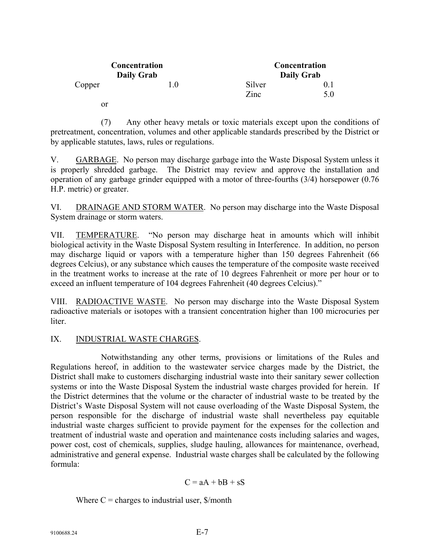|        | Concentration<br><b>Daily Grab</b> | Concentration<br><b>Daily Grab</b> |     |  |
|--------|------------------------------------|------------------------------------|-----|--|
| Copper | $\cup$ . $\cup$                    | Silver                             |     |  |
|        |                                    | Zinc                               | 5.0 |  |
| or     |                                    |                                    |     |  |

(7) Any other heavy metals or toxic materials except upon the conditions of pretreatment, concentration, volumes and other applicable standards prescribed by the District or by applicable statutes, laws, rules or regulations.

V. GARBAGE. No person may discharge garbage into the Waste Disposal System unless it is properly shredded garbage. The District may review and approve the installation and operation of any garbage grinder equipped with a motor of three-fourths (3/4) horsepower (0.76 H.P. metric) or greater.

VI. DRAINAGE AND STORM WATER. No person may discharge into the Waste Disposal System drainage or storm waters.

VII. TEMPERATURE. "No person may discharge heat in amounts which will inhibit biological activity in the Waste Disposal System resulting in Interference. In addition, no person may discharge liquid or vapors with a temperature higher than 150 degrees Fahrenheit (66 degrees Celcius), or any substance which causes the temperature of the composite waste received in the treatment works to increase at the rate of 10 degrees Fahrenheit or more per hour or to exceed an influent temperature of 104 degrees Fahrenheit (40 degrees Celcius)."

VIII. RADIOACTIVE WASTE. No person may discharge into the Waste Disposal System radioactive materials or isotopes with a transient concentration higher than 100 microcuries per liter.

## IX. INDUSTRIAL WASTE CHARGES.

Notwithstanding any other terms, provisions or limitations of the Rules and Regulations hereof, in addition to the wastewater service charges made by the District, the District shall make to customers discharging industrial waste into their sanitary sewer collection systems or into the Waste Disposal System the industrial waste charges provided for herein. If the District determines that the volume or the character of industrial waste to be treated by the District's Waste Disposal System will not cause overloading of the Waste Disposal System, the person responsible for the discharge of industrial waste shall nevertheless pay equitable industrial waste charges sufficient to provide payment for the expenses for the collection and treatment of industrial waste and operation and maintenance costs including salaries and wages, power cost, cost of chemicals, supplies, sludge hauling, allowances for maintenance, overhead, administrative and general expense. Industrial waste charges shall be calculated by the following formula:

$$
C = aA + bB + sS
$$

Where  $C =$  charges to industrial user,  $\frac{C}{2}$  month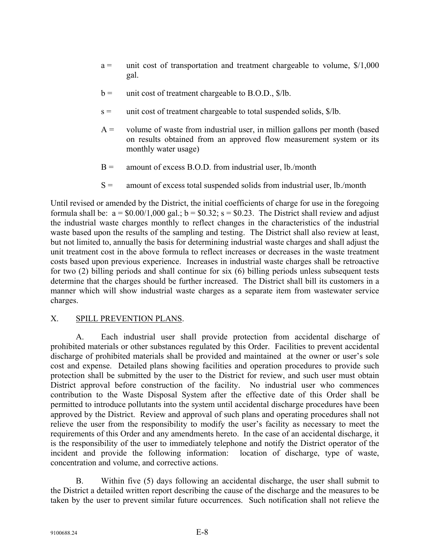- $a =$  unit cost of transportation and treatment chargeable to volume,  $\frac{\$}{1,000}$ gal.
- $b =$  unit cost of treatment chargeable to B.O.D.,  $\frac{1}{2}$ /lb.
- $s =$  unit cost of treatment chargeable to total suspended solids,  $\frac{\phi}{\phi}$ .
- $A =$  volume of waste from industrial user, in million gallons per month (based on results obtained from an approved flow measurement system or its monthly water usage)
- $B =$  amount of excess B.O.D. from industrial user, lb./month
- $S =$  amount of excess total suspended solids from industrial user, lb./month

Until revised or amended by the District, the initial coefficients of charge for use in the foregoing formula shall be:  $a = $0.00/1,000$  gal.;  $b = $0.32$ ;  $s = $0.23$ . The District shall review and adjust the industrial waste charges monthly to reflect changes in the characteristics of the industrial waste based upon the results of the sampling and testing. The District shall also review at least, but not limited to, annually the basis for determining industrial waste charges and shall adjust the unit treatment cost in the above formula to reflect increases or decreases in the waste treatment costs based upon previous experience. Increases in industrial waste charges shall be retroactive for two (2) billing periods and shall continue for six (6) billing periods unless subsequent tests determine that the charges should be further increased. The District shall bill its customers in a manner which will show industrial waste charges as a separate item from wastewater service charges.

## X. SPILL PREVENTION PLANS.

A. Each industrial user shall provide protection from accidental discharge of prohibited materials or other substances regulated by this Order. Facilities to prevent accidental discharge of prohibited materials shall be provided and maintained at the owner or user's sole cost and expense. Detailed plans showing facilities and operation procedures to provide such protection shall be submitted by the user to the District for review, and such user must obtain District approval before construction of the facility. No industrial user who commences contribution to the Waste Disposal System after the effective date of this Order shall be permitted to introduce pollutants into the system until accidental discharge procedures have been approved by the District. Review and approval of such plans and operating procedures shall not relieve the user from the responsibility to modify the user's facility as necessary to meet the requirements of this Order and any amendments hereto. In the case of an accidental discharge, it is the responsibility of the user to immediately telephone and notify the District operator of the incident and provide the following information: location of discharge, type of waste, concentration and volume, and corrective actions.

B. Within five (5) days following an accidental discharge, the user shall submit to the District a detailed written report describing the cause of the discharge and the measures to be taken by the user to prevent similar future occurrences. Such notification shall not relieve the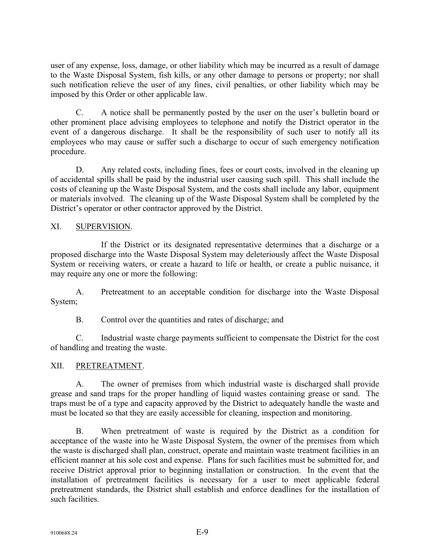user of any expense, loss, damage, or other liability which may be incurred as a result of damage to the Waste Disposal System, fish kills, or any other damage to persons or property; nor shall such notification relieve the user of any fines, civil penalties, or other liability which may be imposed by this Order or other applicable law.

C. A notice shall be permanently posted by the user on the user's bulletin board or other prominent place advising employees to telephone and notify the District operator in the event of a dangerous discharge. It shall be the responsibility of such user to notify all its employees who may cause or suffer such a discharge to occur of such emergency notification procedure.

D. Any related costs, including fines, fees or court costs, involved in the cleaning up of accidental spills shall be paid by the industrial user causing such spill. This shall include the costs of cleaning up the Waste Disposal System, and the costs shall include any labor, equipment or materials involved. The cleaning up of the Waste Disposal System shall be completed by the District's operator or other contractor approved by the District.

## XI. SUPERVISION.

If the District or its designated representative determines that a discharge or a proposed discharge into the Waste Disposal System may deleteriously affect the Waste Disposal System or receiving waters, or create a hazard to life or health, or create a public nuisance, it may require any one or more the following:

A. Pretreatment to an acceptable condition for discharge into the Waste Disposal System;

B. Control over the quantities and rates of discharge; and

C. Industrial waste charge payments sufficient to compensate the District for the cost of handling and treating the waste.

## XII. PRETREATMENT.

A. The owner of premises from which industrial waste is discharged shall provide grease and sand traps for the proper handling of liquid wastes containing grease or sand. The traps must be of a type and capacity approved by the District to adequately handle the waste and must be located so that they are easily accessible for cleaning, inspection and monitoring.

B. When pretreatment of waste is required by the District as a condition for acceptance of the waste into he Waste Disposal System, the owner of the premises from which the waste is discharged shall plan, construct, operate and maintain waste treatment facilities in an efficient manner at his sole cost and expense. Plans for such facilities must be submitted for, and receive District approval prior to beginning installation or construction. In the event that the installation of pretreatment facilities is necessary for a user to meet applicable federal pretreatment standards, the District shall establish and enforce deadlines for the installation of such facilities.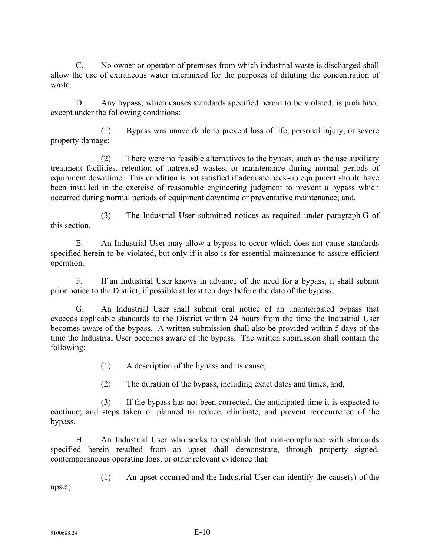C. No owner or operator of premises from which industrial waste is discharged shall allow the use of extraneous water intermixed for the purposes of diluting the concentration of waste.

D. Any bypass, which causes standards specified herein to be violated, is prohibited except under the following conditions:

(1) Bypass was unavoidable to prevent loss of life, personal injury, or severe property damage;

(2) There were no feasible alternatives to the bypass, such as the use auxiliary treatment facilities, retention of untreated wastes, or maintenance during normal periods of equipment downtime. This condition is not satisfied if adequate back-up equipment should have been installed in the exercise of reasonable engineering judgment to prevent a bypass which occurred during normal periods of equipment downtime or preventative maintenance; and.

(3) The Industrial User submitted notices as required under paragraph G of this section.

E. An Industrial User may allow a bypass to occur which does not cause standards specified herein to be violated, but only if it also is for essential maintenance to assure efficient operation.

F. If an Industrial User knows in advance of the need for a bypass, it shall submit prior notice to the District, if possible at least ten days before the date of the bypass.

G. An Industrial User shall submit oral notice of an unanticipated bypass that exceeds applicable standards to the District within 24 hours from the time the Industrial User becomes aware of the bypass. A written submission shall also be provided within 5 days of the time the Industrial User becomes aware of the bypass. The written submission shall contain the following:

- (1) A description of the bypass and its cause;
- (2) The duration of the bypass, including exact dates and times, and,

(3) If the bypass has not been corrected, the anticipated time it is expected to continue; and steps taken or planned to reduce, eliminate, and prevent reoccurrence of the bypass.

H. An Industrial User who seeks to establish that non-compliance with standards specified herein resulted from an upset shall demonstrate, through property signed, contemporaneous operating logs, or other relevant evidence that:

(1) An upset occurred and the Industrial User can identify the cause(s) of the upset;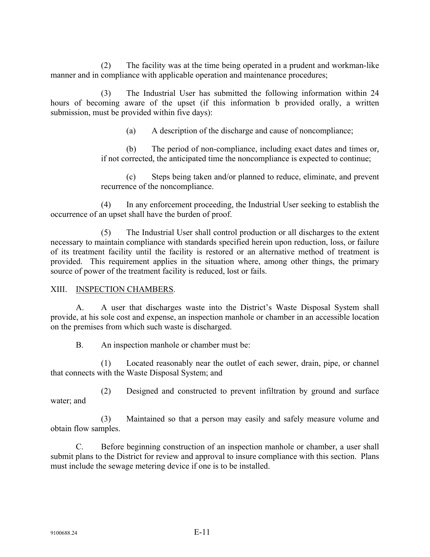(2) The facility was at the time being operated in a prudent and workman-like manner and in compliance with applicable operation and maintenance procedures;

(3) The Industrial User has submitted the following information within 24 hours of becoming aware of the upset (if this information b provided orally, a written submission, must be provided within five days):

(a) A description of the discharge and cause of noncompliance;

(b) The period of non-compliance, including exact dates and times or*,*  if not corrected*,* the anticipated time the noncompliance is expected to continue;

(c) Steps being taken and/or planned to reduce, eliminate, and prevent recurrence of the noncompliance.

(4) In any enforcement proceeding, the Industrial User seeking to establish the occurrence of an upset shall have the burden of proof.

(5) The Industrial User shall control production or all discharges to the extent necessary to maintain compliance with standards specified herein upon reduction, loss, or failure of its treatment facility until the facility is restored or an alternative method of treatment is provided. This requirement applies in the situation where, among other things, the primary source of power of the treatment facility is reduced, lost or fails.

## XIII. INSPECTION CHAMBERS.

A. A user that discharges waste into the District's Waste Disposal System shall provide, at his sole cost and expense, an inspection manhole or chamber in an accessible location on the premises from which such waste is discharged.

B. An inspection manhole or chamber must be:

(1) Located reasonably near the outlet of each sewer, drain, pipe, or channel that connects with the Waste Disposal System; and

(2) Designed and constructed to prevent infiltration by ground and surface water; and

(3) Maintained so that a person may easily and safely measure volume and obtain flow samples.

C. Before beginning construction of an inspection manhole or chamber, a user shall submit plans to the District for review and approval to insure compliance with this section. Plans must include the sewage metering device if one is to be installed.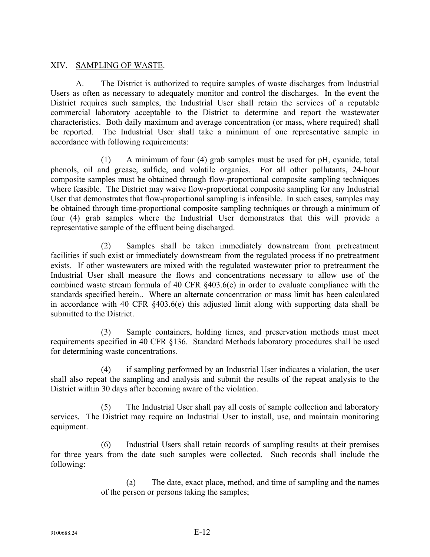## XIV. SAMPLING OF WASTE.

A. The District is authorized to require samples of waste discharges from Industrial Users as often as necessary to adequately monitor and control the discharges. In the event the District requires such samples, the Industrial User shall retain the services of a reputable commercial laboratory acceptable to the District to determine and report the wastewater characteristics. Both daily maximum and average concentration (or mass, where required) shall be reported. The Industrial User shall take a minimum of one representative sample in accordance with following requirements:

(1) A minimum of four (4) grab samples must be used for pH, cyanide, total phenols, oil and grease, sulfide, and volatile organics. For all other pollutants, 24-hour composite samples must be obtained through flow-proportional composite sampling techniques where feasible. The District may waive flow-proportional composite sampling for any Industrial User that demonstrates that flow-proportional sampling is infeasible. In such cases, samples may be obtained through time-proportional composite sampling techniques or through a minimum of four (4) grab samples where the Industrial User demonstrates that this will provide a representative sample of the effluent being discharged.

(2) Samples shall be taken immediately downstream from pretreatment facilities if such exist or immediately downstream from the regulated process if no pretreatment exists. If other wastewaters are mixed with the regulated wastewater prior to pretreatment the Industrial User shall measure the flows and concentrations necessary to allow use of the combined waste stream formula of 40 CFR §403.6(e) in order to evaluate compliance with the standards specified herein.. Where an alternate concentration or mass limit has been calculated in accordance with 40 CFR §403.6(e) this adjusted limit along with supporting data shall be submitted to the District.

(3) Sample containers, holding times, and preservation methods must meet requirements specified in 40 CFR §136. Standard Methods laboratory procedures shall be used for determining waste concentrations.

(4) if sampling performed by an Industrial User indicates a violation, the user shall also repeat the sampling and analysis and submit the results of the repeat analysis to the District within 30 days after becoming aware of the violation.

(5) The Industrial User shall pay all costs of sample collection and laboratory services*.* The District may require an Industrial User to install, use, and maintain monitoring equipment.

(6) Industrial Users shall retain records of sampling results at their premises for three years from the date such samples were collected. Such records shall include the following:

> (a) The date, exact place, method, and time of sampling and the names of the person or persons taking the samples;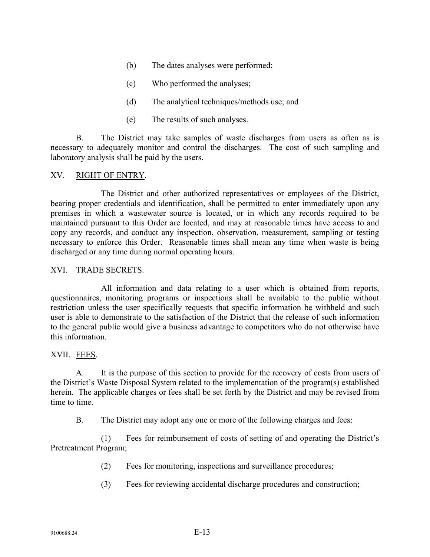- (b) The dates analyses were performed;
- (c) Who performed the analyses;
- (d) The analytical techniques/methods use; and
- (e) The results of such analyses.

B. The District may take samples of waste discharges from users as often as is necessary to adequately monitor and control the discharges. The cost of such sampling and laboratory analysis shall be paid by the users.

### XV. RIGHT OF ENTRY.

The District and other authorized representatives or employees of the District, bearing proper credentials and identification, shall be permitted to enter immediately upon any premises in which a wastewater source is located, or in which any records required to be maintained pursuant to this Order are located, and may at reasonable times have access to and copy any records, and conduct any inspection, observation, measurement, sampling or testing necessary to enforce this Order. Reasonable times shall mean any time when waste is being discharged or any time during normal operating hours.

#### XVI. TRADE SECRETS.

All information and data relating to a user which is obtained from reports, questionnaires, monitoring programs or inspections shall be available to the public without restriction unless the user specifically requests that specific information be withheld and such user is able to demonstrate to the satisfaction of the District that the release of such information to the general public would give a business advantage to competitors who do not otherwise have this information.

#### XVII. FEES.

A. It is the purpose of this section to provide for the recovery of costs from users of the District's Waste Disposal System related to the implementation of the program(s) established herein. The applicable charges or fees shall be set forth by the District and may be revised from time to time.

B. The District may adopt any one or more of the following charges and fees:

(1) Fees for reimbursement of costs of setting of and operating the District's Pretreatment Program;

- (2) Fees for monitoring, inspections and surveillance procedures;
- (3) Fees for reviewing accidental discharge procedures and construction;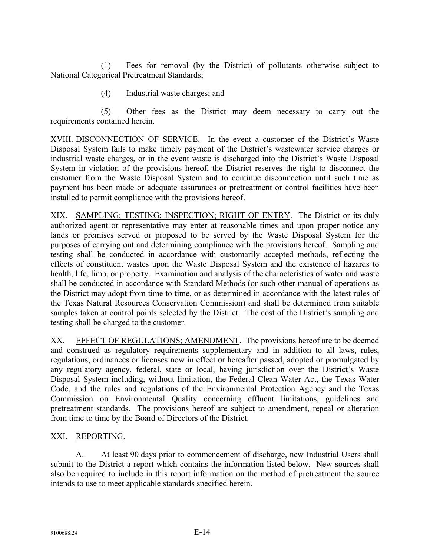(1) Fees for removal (by the District) of pollutants otherwise subject to National Categorical Pretreatment Standards;

(4) Industrial waste charges; and

(5) Other fees as the District may deem necessary to carry out the requirements contained herein.

XVIII. DISCONNECTION OF SERVICE. In the event a customer of the District's Waste Disposal System fails to make timely payment of the District's wastewater service charges or industrial waste charges, or in the event waste is discharged into the District's Waste Disposal System in violation of the provisions hereof, the District reserves the right to disconnect the customer from the Waste Disposal System and to continue disconnection until such time as payment has been made or adequate assurances or pretreatment or control facilities have been installed to permit compliance with the provisions hereof.

XIX. SAMPLING; TESTING; INSPECTION; RIGHT OF ENTRY. The District or its duly authorized agent or representative may enter at reasonable times and upon proper notice any lands or premises served or proposed to be served by the Waste Disposal System for the purposes of carrying out and determining compliance with the provisions hereof. Sampling and testing shall be conducted in accordance with customarily accepted methods, reflecting the effects of constituent wastes upon the Waste Disposal System and the existence of hazards to health, life, limb, or property. Examination and analysis of the characteristics of water and waste shall be conducted in accordance with Standard Methods (or such other manual of operations as the District may adopt from time to time, or as determined in accordance with the latest rules of the Texas Natural Resources Conservation Commission) and shall be determined from suitable samples taken at control points selected by the District. The cost of the District's sampling and testing shall be charged to the customer.

XX. EFFECT OF REGULATIONS; AMENDMENT. The provisions hereof are to be deemed and construed as regulatory requirements supplementary and in addition to all laws, rules, regulations, ordinances or licenses now in effect or hereafter passed, adopted or promulgated by any regulatory agency, federal, state or local, having jurisdiction over the District's Waste Disposal System including, without limitation, the Federal Clean Water Act, the Texas Water Code, and the rules and regulations of the Environmental Protection Agency and the Texas Commission on Environmental Quality concerning effluent limitations, guidelines and pretreatment standards. The provisions hereof are subject to amendment, repeal or alteration from time to time by the Board of Directors of the District.

## XXI. REPORTING.

A. At least 90 days prior to commencement of discharge, new Industrial Users shall submit to the District a report which contains the information listed below. New sources shall also be required to include in this report information on the method of pretreatment the source intends to use to meet applicable standards specified herein.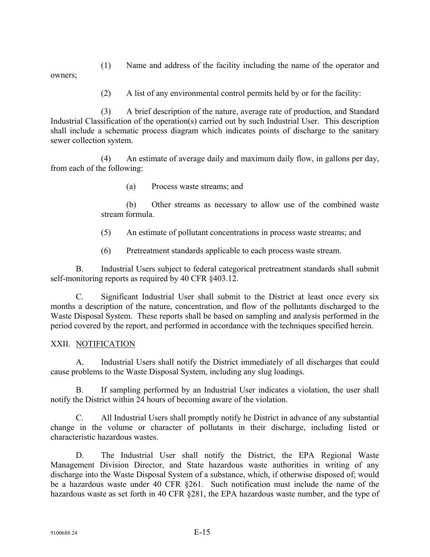(1) Name and address of the facility including the name of the operator and owners;

(2) A list of any environmental control permits held by or for the facility:

(3) A brief description of the nature, average rate of production, and Standard Industrial Classification of the operation(s) carried out by such Industrial User. This description shall include a schematic process diagram which indicates points of discharge to the sanitary sewer collection system.

(4) An estimate of average daily and maximum daily flow, in gallons per day, from each of the following:

(a) Process waste streams; and

(b) Other streams as necessary to allow use of the combined waste stream formula.

- (5) An estimate of pollutant concentrations in process waste streams; and
- (6) Pretreatment standards applicable to each process waste stream.

B. Industrial Users subject to federal categorical pretreatment standards shall submit self-monitoring reports as required by 40 CFR §403.12.

C. Significant Industrial User shall submit to the District at least once every six months a description of the nature, concentration, and flow of the pollutants discharged to the Waste Disposal System. These reports shall be based on sampling and analysis performed in the period covered by the report, and performed in accordance with the techniques specified herein.

## XXII. NOTIFICATION

A. Industrial Users shall notify the District immediately of all discharges that could cause problems to the Waste Disposal System, including any slug loadings.

B. If sampling performed by an Industrial User indicates a violation, the user shall notify the District within 24 hours of becoming aware of the violation.

C. All Industrial Users shall promptly notify he District in advance of any substantial change in the volume or character of pollutants in their discharge, including listed or characteristic hazardous wastes.

D. The Industrial User shall notify the District, the EPA Regional Waste Management Division Director, and State hazardous waste authorities in writing of any discharge into the Waste Disposal System of a substance, which, if otherwise disposed of; would be a hazardous waste under 40 CFR §261. Such notification must include the name of the hazardous waste as set forth in 40 CFR §281, the EPA hazardous waste number, and the type of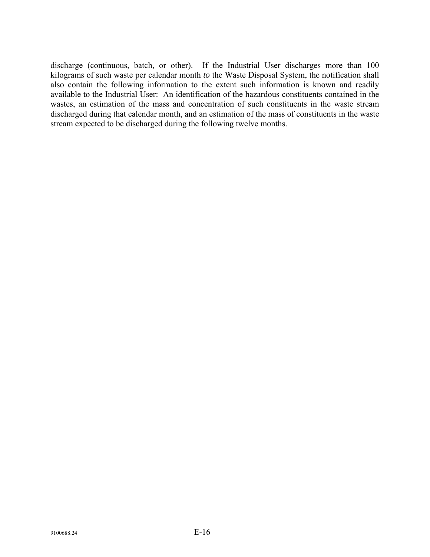discharge (continuous, batch, or other). If the Industrial User discharges more than 100 kilograms of such waste per calendar month *to* the Waste Disposal System, the notification shall also contain the following information to the extent such information is known and readily available to the Industrial User: An identification of the hazardous constituents contained in the wastes, an estimation of the mass and concentration of such constituents in the waste stream discharged during that calendar month, and an estimation of the mass of constituents in the waste stream expected to be discharged during the following twelve months.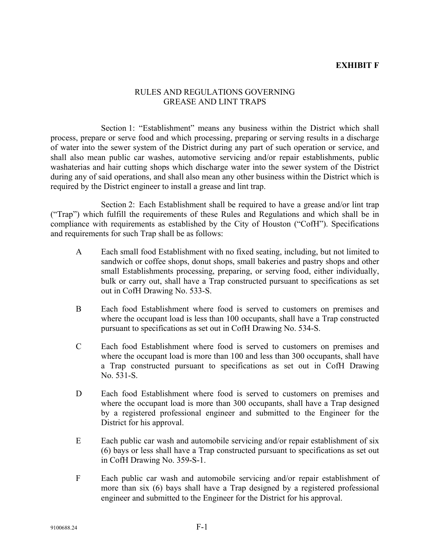### **EXHIBIT F**

#### RULES AND REGULATIONS GOVERNING GREASE AND LINT TRAPS

Section 1: "Establishment" means any business within the District which shall process, prepare or serve food and which processing, preparing or serving results in a discharge of water into the sewer system of the District during any part of such operation or service, and shall also mean public car washes, automotive servicing and/or repair establishments, public washaterias and hair cutting shops which discharge water into the sewer system of the District during any of said operations, and shall also mean any other business within the District which is required by the District engineer to install a grease and lint trap.

Section 2: Each Establishment shall be required to have a grease and/or lint trap ("Trap") which fulfill the requirements of these Rules and Regulations and which shall be in compliance with requirements as established by the City of Houston ("CofH"). Specifications and requirements for such Trap shall be as follows:

- A Each small food Establishment with no fixed seating, including, but not limited to sandwich or coffee shops, donut shops, small bakeries and pastry shops and other small Establishments processing, preparing, or serving food, either individually, bulk or carry out, shall have a Trap constructed pursuant to specifications as set out in CofH Drawing No. 533-S.
- B Each food Establishment where food is served to customers on premises and where the occupant load is less than 100 occupants, shall have a Trap constructed pursuant to specifications as set out in CofH Drawing No. 534-S.
- C Each food Establishment where food is served to customers on premises and where the occupant load is more than 100 and less than 300 occupants, shall have a Trap constructed pursuant to specifications as set out in CofH Drawing No. 531-S.
- D Each food Establishment where food is served to customers on premises and where the occupant load is more than 300 occupants, shall have a Trap designed by a registered professional engineer and submitted to the Engineer for the District for his approval.
- E Each public car wash and automobile servicing and/or repair establishment of six (6) bays or less shall have a Trap constructed pursuant to specifications as set out in CofH Drawing No. 359-S-1.
- F Each public car wash and automobile servicing and/or repair establishment of more than six (6) bays shall have a Trap designed by a registered professional engineer and submitted to the Engineer for the District for his approval.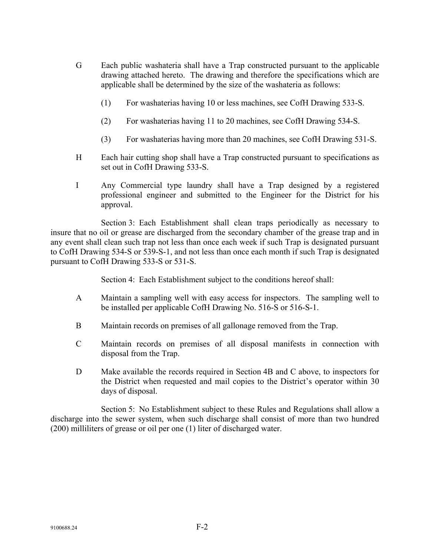- G Each public washateria shall have a Trap constructed pursuant to the applicable drawing attached hereto. The drawing and therefore the specifications which are applicable shall be determined by the size of the washateria as follows:
	- (1) For washaterias having 10 or less machines, see CofH Drawing 533-S.
	- (2) For washaterias having 11 to 20 machines, see CofH Drawing 534-S.
	- (3) For washaterias having more than 20 machines, see CofH Drawing 531-S.
- H Each hair cutting shop shall have a Trap constructed pursuant to specifications as set out in CofH Drawing 533-S.
- I Any Commercial type laundry shall have a Trap designed by a registered professional engineer and submitted to the Engineer for the District for his approval.

Section 3: Each Establishment shall clean traps periodically as necessary to insure that no oil or grease are discharged from the secondary chamber of the grease trap and in any event shall clean such trap not less than once each week if such Trap is designated pursuant to CofH Drawing 534-S or 539-S-1, and not less than once each month if such Trap is designated pursuant to CofH Drawing 533-S or 531-S.

Section 4: Each Establishment subject to the conditions hereof shall:

- A Maintain a sampling well with easy access for inspectors. The sampling well to be installed per applicable CofH Drawing No. 516-S or 516-S-1.
- B Maintain records on premises of all gallonage removed from the Trap.
- C Maintain records on premises of all disposal manifests in connection with disposal from the Trap.
- D Make available the records required in Section 4B and C above, to inspectors for the District when requested and mail copies to the District's operator within 30 days of disposal.

Section 5: No Establishment subject to these Rules and Regulations shall allow a discharge into the sewer system, when such discharge shall consist of more than two hundred (200) milliliters of grease or oil per one (1) liter of discharged water.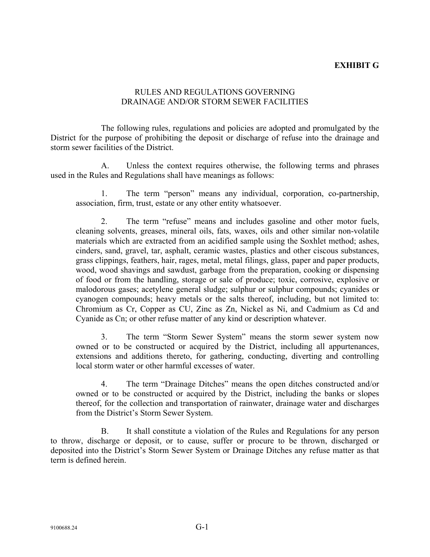## **EXHIBIT G**

#### RULES AND REGULATIONS GOVERNING DRAINAGE AND/OR STORM SEWER FACILITIES

The following rules, regulations and policies are adopted and promulgated by the District for the purpose of prohibiting the deposit or discharge of refuse into the drainage and storm sewer facilities of the District.

A. Unless the context requires otherwise, the following terms and phrases used in the Rules and Regulations shall have meanings as follows:

1. The term "person" means any individual, corporation, co-partnership, association, firm, trust, estate or any other entity whatsoever.

2. The term "refuse" means and includes gasoline and other motor fuels, cleaning solvents, greases, mineral oils, fats, waxes, oils and other similar non-volatile materials which are extracted from an acidified sample using the Soxhlet method; ashes, cinders, sand, gravel, tar, asphalt, ceramic wastes, plastics and other ciscous substances, grass clippings, feathers, hair, rages, metal, metal filings, glass, paper and paper products, wood, wood shavings and sawdust, garbage from the preparation, cooking or dispensing of food or from the handling, storage or sale of produce; toxic, corrosive, explosive or malodorous gases; acetylene general sludge; sulphur or sulphur compounds; cyanides or cyanogen compounds; heavy metals or the salts thereof, including, but not limited to: Chromium as Cr, Copper as CU, Zinc as Zn, Nickel as Ni, and Cadmium as Cd and Cyanide as Cn; or other refuse matter of any kind or description whatever.

3. The term "Storm Sewer System" means the storm sewer system now owned or to be constructed or acquired by the District, including all appurtenances, extensions and additions thereto, for gathering, conducting, diverting and controlling local storm water or other harmful excesses of water.

4. The term "Drainage Ditches" means the open ditches constructed and/or owned or to be constructed or acquired by the District, including the banks or slopes thereof, for the collection and transportation of rainwater, drainage water and discharges from the District's Storm Sewer System.

B. It shall constitute a violation of the Rules and Regulations for any person to throw, discharge or deposit, or to cause, suffer or procure to be thrown, discharged or deposited into the District's Storm Sewer System or Drainage Ditches any refuse matter as that term is defined herein.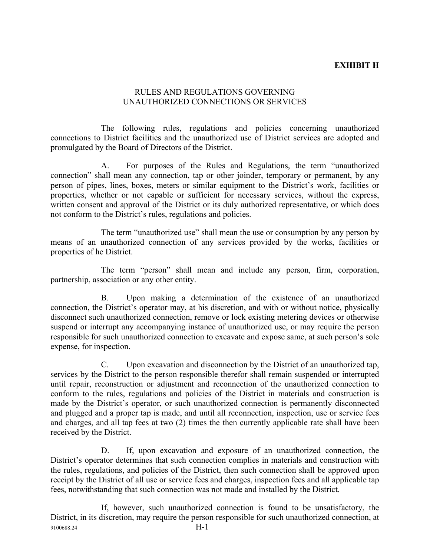## **EXHIBIT H**

#### RULES AND REGULATIONS GOVERNING UNAUTHORIZED CONNECTIONS OR SERVICES

The following rules, regulations and policies concerning unauthorized connections to District facilities and the unauthorized use of District services are adopted and promulgated by the Board of Directors of the District.

A. For purposes of the Rules and Regulations, the term "unauthorized connection" shall mean any connection, tap or other joinder, temporary or permanent, by any person of pipes, lines, boxes, meters or similar equipment to the District's work, facilities or properties, whether or not capable or sufficient for necessary services, without the express, written consent and approval of the District or its duly authorized representative, or which does not conform to the District's rules, regulations and policies.

The term "unauthorized use" shall mean the use or consumption by any person by means of an unauthorized connection of any services provided by the works, facilities or properties of he District.

The term "person" shall mean and include any person, firm, corporation, partnership, association or any other entity.

B. Upon making a determination of the existence of an unauthorized connection, the District's operator may, at his discretion, and with or without notice, physically disconnect such unauthorized connection, remove or lock existing metering devices or otherwise suspend or interrupt any accompanying instance of unauthorized use, or may require the person responsible for such unauthorized connection to excavate and expose same, at such person's sole expense, for inspection.

C. Upon excavation and disconnection by the District of an unauthorized tap, services by the District to the person responsible therefor shall remain suspended or interrupted until repair, reconstruction or adjustment and reconnection of the unauthorized connection to conform to the rules, regulations and policies of the District in materials and construction is made by the District's operator, or such unauthorized connection is permanently disconnected and plugged and a proper tap is made, and until all reconnection, inspection, use or service fees and charges, and all tap fees at two (2) times the then currently applicable rate shall have been received by the District.

D. If, upon excavation and exposure of an unauthorized connection, the District's operator determines that such connection complies in materials and construction with the rules, regulations, and policies of the District, then such connection shall be approved upon receipt by the District of all use or service fees and charges, inspection fees and all applicable tap fees, notwithstanding that such connection was not made and installed by the District.

9100688.24 H-1 If, however, such unauthorized connection is found to be unsatisfactory, the District, in its discretion, may require the person responsible for such unauthorized connection, at